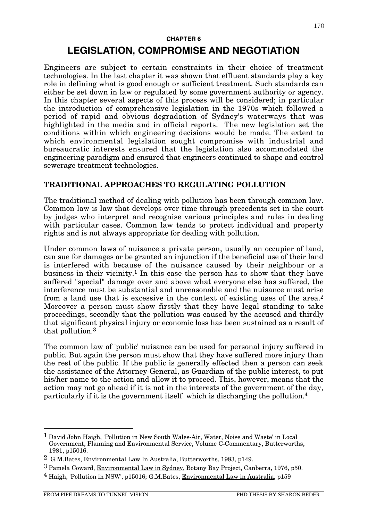#### **CHAPTER 6**

# **LEGISLATION, COMPROMISE AND NEGOTIATION**

Engineers are subject to certain constraints in their choice of treatment technologies. In the last chapter it was shown that effluent standards play a key role in defining what is good enough or sufficient treatment. Such standards can either be set down in law or regulated by some government authority or agency. In this chapter several aspects of this process will be considered; in particular the introduction of comprehensive legislation in the 1970s which followed a period of rapid and obvious degradation of Sydney's waterways that was highlighted in the media and in official reports. The new legislation set the conditions within which engineering decisions would be made. The extent to which environmental legislation sought compromise with industrial and bureaucratic interests ensured that the legislation also accommodated the engineering paradigm and ensured that engineers continued to shape and control sewerage treatment technologies.

## **TRADITIONAL APPROACHES TO REGULATING POLLUTION**

The traditional method of dealing with pollution has been through common law. Common law is law that develops over time through precedents set in the court by judges who interpret and recognise various principles and rules in dealing with particular cases. Common law tends to protect individual and property rights and is not always appropriate for dealing with pollution.

Under common laws of nuisance a private person, usually an occupier of land, can sue for damages or be granted an injunction if the beneficial use of their land is interfered with because of the nuisance caused by their neighbour or a business in their vicinity.1 In this case the person has to show that they have suffered "special" damage over and above what everyone else has suffered, the interference must be substantial and unreasonable and the nuisance must arise from a land use that is excessive in the context of existing uses of the area.2 Moreover a person must show firstly that they have legal standing to take proceedings, secondly that the pollution was caused by the accused and thirdly that significant physical injury or economic loss has been sustained as a result of that pollution.3

The common law of 'public' nuisance can be used for personal injury suffered in public. But again the person must show that they have suffered more injury than the rest of the public. If the public is generally effected then a person can seek the assistance of the Attorney-General, as Guardian of the public interest, to put his/her name to the action and allow it to proceed. This, however, means that the action may not go ahead if it is not in the interests of the government of the day, particularly if it is the government itself which is discharging the pollution.4

 <sup>1</sup> David John Haigh, 'Pollution in New South Wales-Air, Water, Noise and Waste' in Local Government, Planning and Environmental Service, Volume C-Commentary, Butterworths, 1981, p15016.

<sup>2</sup> G.M.Bates, Environmental Law In Australia, Butterworths, 1983, p149.

<sup>3</sup> Pamela Coward, Environmental Law in Sydney, Botany Bay Project, Canberra, 1976, p50.

<sup>4</sup> Haigh, 'Pollution in NSW', p15016; G.M.Bates, Environmental Law in Australia, p159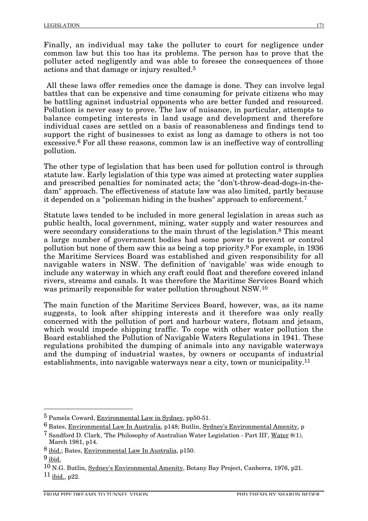Finally, an individual may take the polluter to court for negligence under common law but this too has its problems. The person has to prove that the polluter acted negligently and was able to foresee the consequences of those actions and that damage or injury resulted.5

All these laws offer remedies once the damage is done. They can involve legal battles that can be expensive and time consuming for private citizens who may be battling against industrial opponents who are better funded and resourced. Pollution is never easy to prove. The law of nuisance, in particular, attempts to balance competing interests in land usage and development and therefore individual cases are settled on a basis of reasonableness and findings tend to support the right of businesses to exist as long as damage to others is not too excessive.6 For all these reasons, common law is an ineffective way of controlling pollution.

The other type of legislation that has been used for pollution control is through statute law. Early legislation of this type was aimed at protecting water supplies and prescribed penalties for nominated acts; the "don't-throw-dead-dogs-in-thedam" approach. The effectiveness of statute law was also limited, partly because it depended on a "policeman hiding in the bushes" approach to enforcement.7

Statute laws tended to be included in more general legislation in areas such as public health, local government, mining, water supply and water resources and were secondary considerations to the main thrust of the legislation.<sup>8</sup> This meant a large number of government bodies had some power to prevent or control pollution but none of them saw this as being a top priority.9 For example, in 1936 the Maritime Services Board was established and given responsibility for all navigable waters in NSW. The definition of 'navigable' was wide enough to include any waterway in which any craft could float and therefore covered inland rivers, streams and canals. It was therefore the Maritime Services Board which was primarily responsible for water pollution throughout NSW.10

The main function of the Maritime Services Board, however, was, as its name suggests, to look after shipping interests and it therefore was only really concerned with the pollution of port and harbour waters, flotsam and jetsam, which would impede shipping traffic. To cope with other water pollution the Board established the Pollution of Navigable Waters Regulations in 1941. These regulations prohibited the dumping of animals into any navigable waterways and the dumping of industrial wastes, by owners or occupants of industrial establishments, into navigable waterways near a city, town or municipality.11

 <sup>5</sup> Pamela Coward, Environmental Law in Sydney, pp50-51.

<sup>6</sup> Bates, Environmental Law In Australia, p148; Butlin, Sydney's Environmental Amenity, p

<sup>&</sup>lt;sup>7</sup> Sandford D. Clark, 'The Philosophy of Australian Water Legislation - Part III', Water 8(1), March 1981, p14.

<sup>8</sup> ibid.; Bates, Environmental Law In Australia, p150.

 $9$  ibid.

<sup>10</sup> N.G. Butlin, Sydney's Environmental Amenity, Botany Bay Project, Canberra, 1976, p21.  $11$  ibid., p22.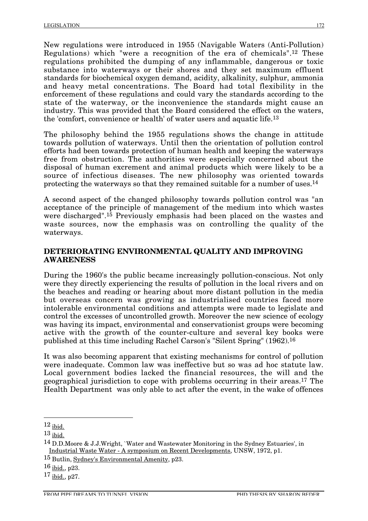New regulations were introduced in 1955 (Navigable Waters (Anti-Pollution) Regulations) which "were a recognition of the era of chemicals".12 These regulations prohibited the dumping of any inflammable, dangerous or toxic substance into waterways or their shores and they set maximum effluent standards for biochemical oxygen demand, acidity, alkalinity, sulphur, ammonia and heavy metal concentrations. The Board had total flexibility in the enforcement of these regulations and could vary the standards according to the state of the waterway, or the inconvenience the standards might cause an industry. This was provided that the Board considered the effect on the waters, the 'comfort, convenience or health' of water users and aquatic life.13

The philosophy behind the 1955 regulations shows the change in attitude towards pollution of waterways. Until then the orientation of pollution control efforts had been towards protection of human health and keeping the waterways free from obstruction. The authorities were especially concerned about the disposal of human excrement and animal products which were likely to be a source of infectious diseases. The new philosophy was oriented towards protecting the waterways so that they remained suitable for a number of uses.14

A second aspect of the changed philosophy towards pollution control was "an acceptance of the principle of management of the medium into which wastes were discharged".15 Previously emphasis had been placed on the wastes and waste sources, now the emphasis was on controlling the quality of the waterways.

## **DETERIORATING ENVIRONMENTAL QUALITY AND IMPROVING AWARENESS**

During the 1960's the public became increasingly pollution-conscious. Not only were they directly experiencing the results of pollution in the local rivers and on the beaches and reading or hearing about more distant pollution in the media but overseas concern was growing as industrialised countries faced more intolerable environmental conditions and attempts were made to legislate and control the excesses of uncontrolled growth. Moreover the new science of ecology was having its impact, environmental and conservationist groups were becoming active with the growth of the counter-culture and several key books were published at this time including Rachel Carson's "Silent Spring" (1962).16

It was also becoming apparent that existing mechanisms for control of pollution were inadequate. Common law was ineffective but so was ad hoc statute law. Local government bodies lacked the financial resources, the will and the geographical jurisdiction to cope with problems occurring in their areas.17 The Health Department was only able to act after the event, in the wake of offences

 $12$  ibid.

 $13$  ibid.

<sup>14</sup> D.D.Moore & J.J.Wright, `Water and Wastewater Monitoring in the Sydney Estuaries', in Industrial Waste Water - A symposium on Recent Developments, UNSW, 1972, p1.

<sup>15</sup> Butlin, Sydney's Environmental Amenity, p23.

<sup>16</sup> ibid., p23.

<sup>17</sup> ibid., p27.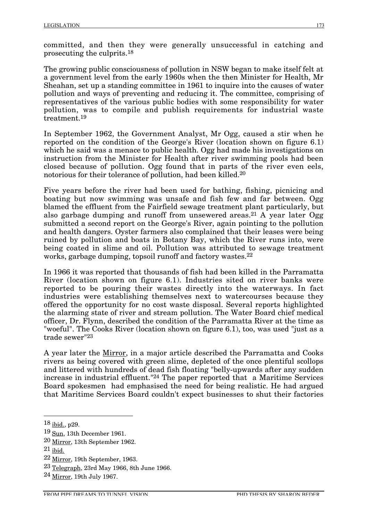committed, and then they were generally unsuccessful in catching and prosecuting the culprits.18

The growing public consciousness of pollution in NSW began to make itself felt at a government level from the early 1960s when the then Minister for Health, Mr Sheahan, set up a standing committee in 1961 to inquire into the causes of water pollution and ways of preventing and reducing it. The committee, comprising of representatives of the various public bodies with some responsibility for water pollution, was to compile and publish requirements for industrial waste treatment.19

In September 1962, the Government Analyst, Mr Ogg, caused a stir when he reported on the condition of the George's River (location shown on figure 6.1) which he said was a menace to public health. Ogg had made his investigations on instruction from the Minister for Health after river swimming pools had been closed because of pollution. Ogg found that in parts of the river even eels, notorious for their tolerance of pollution, had been killed.20

Five years before the river had been used for bathing, fishing, picnicing and boating but now swimming was unsafe and fish few and far between. Ogg blamed the effluent from the Fairfield sewage treatment plant particularly, but also garbage dumping and runoff from unsewered areas.<sup>21</sup> A year later  $Oge$ submitted a second report on the George's River, again pointing to the pollution and health dangers. Oyster farmers also complained that their leases were being ruined by pollution and boats in Botany Bay, which the River runs into, were being coated in slime and oil. Pollution was attributed to sewage treatment works, garbage dumping, topsoil runoff and factory wastes.<sup>22</sup>

In 1966 it was reported that thousands of fish had been killed in the Parramatta River (location shown on figure 6.1). Industries sited on river banks were reported to be pouring their wastes directly into the waterways. In fact industries were establishing themselves next to watercourses because they offered the opportunity for no cost waste disposal. Several reports highlighted the alarming state of river and stream pollution. The Water Board chief medical officer, Dr. Flynn, described the condition of the Parramatta River at the time as "woeful". The Cooks River (location shown on figure 6.1), too, was used "just as a trade sewer"23

A year later the Mirror, in a major article described the Parramatta and Cooks rivers as being covered with green slime, depleted of the once plentiful scollops and littered with hundreds of dead fish floating "belly-upwards after any sudden increase in industrial effluent."24 The paper reported that a Maritime Services Board spokesmen had emphasised the need for being realistic. He had argued that Maritime Services Board couldn't expect businesses to shut their factories

 <sup>18</sup> ibid., p29.

<sup>19</sup> Sun, 13th December 1961.

<sup>20</sup> Mirror, 13th September 1962.

 $21$  ibid.

 $22$  Mirror, 19th September, 1963.

 $23$  Telegraph, 23rd May 1966, 8th June 1966.

<sup>24</sup> Mirror, 19th July 1967.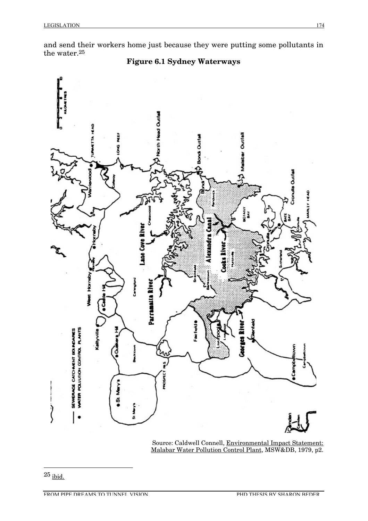and send their workers home just because they were putting some pollutants in the water.25



Source: Caldwell Connell, <u>Environmental Impact Statement:</u> Malabar Water Pollution Control Plant, MSW&DB, 1979, p2.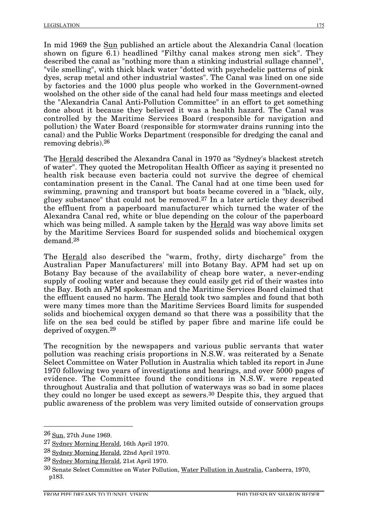In mid 1969 the Sun published an article about the Alexandria Canal (location shown on figure 6.1) headlined "Filthy canal makes strong men sick". They described the canal as "nothing more than a stinking industrial sullage channel", "vile smelling", with thick black water "dotted with psychedelic patterns of pink dyes, scrap metal and other industrial wastes". The Canal was lined on one side by factories and the 1000 plus people who worked in the Government-owned woolshed on the other side of the canal had held four mass meetings and elected the "Alexandria Canal Anti-Pollution Committee" in an effort to get something done about it because they believed it was a health hazard. The Canal was controlled by the Maritime Services Board (responsible for navigation and pollution) the Water Board (responsible for stormwater drains running into the canal) and the Public Works Department (responsible for dredging the canal and removing debris).26

The Herald described the Alexandra Canal in 1970 as "Sydney's blackest stretch of water". They quoted the Metropolitan Health Officer as saying it presented no health risk because even bacteria could not survive the degree of chemical contamination present in the Canal. The Canal had at one time been used for swimming, prawning and transport but boats became covered in a "black, oily, gluey substance" that could not be removed.27 In a later article they described the effluent from a paperboard manufacturer which turned the water of the Alexandra Canal red, white or blue depending on the colour of the paperboard which was being milled. A sample taken by the <u>Herald</u> was way above limits set by the Maritime Services Board for suspended solids and biochemical oxygen demand.28

The Herald also described the "warm, frothy, dirty discharge" from the Australian Paper Manufacturers' mill into Botany Bay. APM had set up on Botany Bay because of the availability of cheap bore water, a never-ending supply of cooling water and because they could easily get rid of their wastes into the Bay. Both an APM spokesman and the Maritime Services Board claimed that the effluent caused no harm. The Herald took two samples and found that both were many times more than the Maritime Services Board limits for suspended solids and biochemical oxygen demand so that there was a possibility that the life on the sea bed could be stifled by paper fibre and marine life could be deprived of oxygen.29

The recognition by the newspapers and various public servants that water pollution was reaching crisis proportions in N.S.W. was reiterated by a Senate Select Committee on Water Pollution in Australia which tabled its report in June 1970 following two years of investigations and hearings, and over 5000 pages of evidence. The Committee found the conditions in N.S.W. were repeated throughout Australia and that pollution of waterways was so bad in some places they could no longer be used except as sewers.30 Despite this, they argued that public awareness of the problem was very limited outside of conservation groups

 <sup>26</sup> Sun, 27th June 1969.

<sup>27</sup> Sydney Morning Herald, 16th April 1970.

<sup>28</sup> Sydney Morning Herald, 22nd April 1970.

<sup>29</sup> Sydney Morning Herald, 21st April 1970.

<sup>30</sup> Senate Select Committee on Water Pollution, Water Pollution in Australia, Canberra, 1970, p183.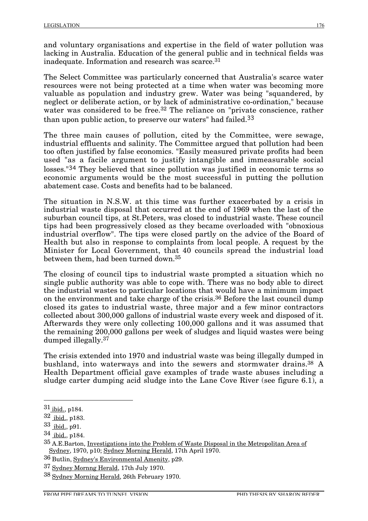and voluntary organisations and expertise in the field of water pollution was lacking in Australia. Education of the general public and in technical fields was inadequate. Information and research was scarce.31

The Select Committee was particularly concerned that Australia's scarce water resources were not being protected at a time when water was becoming more valuable as population and industry grew. Water was being "squandered, by neglect or deliberate action, or by lack of administrative co-ordination," because water was considered to be free.<sup>32</sup> The reliance on "private conscience, rather than upon public action, to preserve our waters" had failed.<sup>33</sup>

The three main causes of pollution, cited by the Committee, were sewage, industrial effluents and salinity. The Committee argued that pollution had been too often justified by false economics. "Easily measured private profits had been used "as a facile argument to justify intangible and immeasurable social losses."<sup>34</sup> They believed that since pollution was justified in economic terms so economic arguments would be the most successful in putting the pollution abatement case. Costs and benefits had to be balanced.

The situation in N.S.W. at this time was further exacerbated by a crisis in industrial waste disposal that occurred at the end of 1969 when the last of the suburban council tips, at St.Peters, was closed to industrial waste. These council tips had been progressively closed as they became overloaded with "obnoxious industrial overflow". The tips were closed partly on the advice of the Board of Health but also in response to complaints from local people. A request by the Minister for Local Government, that 40 councils spread the industrial load between them, had been turned down.35

The closing of council tips to industrial waste prompted a situation which no single public authority was able to cope with. There was no body able to direct the industrial wastes to particular locations that would have a minimum impact on the environment and take charge of the crisis.36 Before the last council dump closed its gates to industrial waste, three major and a few minor contractors collected about 300,000 gallons of industrial waste every week and disposed of it. Afterwards they were only collecting 100,000 gallons and it was assumed that the remaining 200,000 gallons per week of sludges and liquid wastes were being dumped illegally.37

The crisis extended into 1970 and industrial waste was being illegally dumped in bushland, into waterways and into the sewers and stormwater drains.38 A Health Department official gave examples of trade waste abuses including a sludge carter dumping acid sludge into the Lane Cove River (see figure 6.1), a

 $31$  ibid., p184.

<sup>32</sup> ibid., p183.

<sup>33</sup> ibid., p91.

<sup>34</sup> ibid., p184.

<sup>35</sup> A.E.Barton, Investigations into the Problem of Waste Disposal in the Metropolitan Area of Sydney, 1970, p10; Sydney Morning Herald, 17th April 1970.

<sup>36</sup> Butlin, Sydney's Environmental Amenity, p29.

<sup>37</sup> Sydney Mornng Herald, 17th July 1970.

<sup>38</sup> Sydney Morning Herald, 26th February 1970.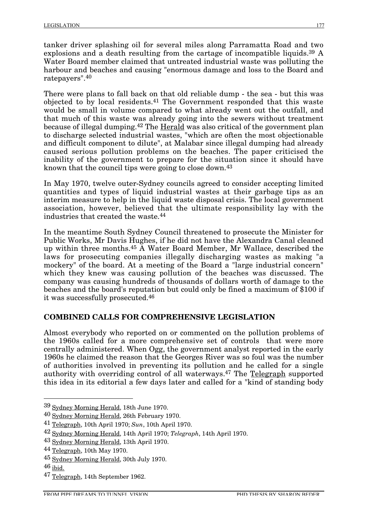tanker driver splashing oil for several miles along Parramatta Road and two explosions and a death resulting from the cartage of incompatible liquids.<sup>39</sup> A Water Board member claimed that untreated industrial waste was polluting the harbour and beaches and causing "enormous damage and loss to the Board and ratepayers".40

There were plans to fall back on that old reliable dump - the sea - but this was objected to by local residents.41 The Government responded that this waste would be small in volume compared to what already went out the outfall, and that much of this waste was already going into the sewers without treatment because of illegal dumping.42 The Herald was also critical of the government plan to discharge selected industrial wastes, "which are often the most objectionable and difficult component to dilute", at Malabar since illegal dumping had already caused serious pollution problems on the beaches. The paper criticised the inability of the government to prepare for the situation since it should have known that the council tips were going to close down.43

In May 1970, twelve outer-Sydney councils agreed to consider accepting limited quantities and types of liquid industrial wastes at their garbage tips as an interim measure to help in the liquid waste disposal crisis. The local government association, however, believed that the ultimate responsibility lay with the industries that created the waste.44

In the meantime South Sydney Council threatened to prosecute the Minister for Public Works, Mr Davis Hughes, if he did not have the Alexandra Canal cleaned up within three months.45 A Water Board Member, Mr Wallace, described the laws for prosecuting companies illegally discharging wastes as making "a mockery" of the board. At a meeting of the Board a "large industrial concern" which they knew was causing pollution of the beaches was discussed. The company was causing hundreds of thousands of dollars worth of damage to the beaches and the board's reputation but could only be fined a maximum of \$100 if it was successfully prosecuted.46

## **COMBINED CALLS FOR COMPREHENSIVE LEGISLATION**

Almost everybody who reported on or commented on the pollution problems of the 1960s called for a more comprehensive set of controls that were more centrally administered. When Ogg, the government analyst reported in the early 1960s he claimed the reason that the Georges River was so foul was the number of authorities involved in preventing its pollution and he called for a single authority with overriding control of all waterways.47 The Telegraph supported this idea in its editorial a few days later and called for a "kind of standing body

 <sup>39</sup> Sydney Morning Herald, 18th June 1970.

<sup>40</sup> Sydney Morning Herald, 26th February 1970.

<sup>41</sup> Telegraph, 10th April 1970; *Sun*, 10th April 1970.

<sup>42</sup> Sydney Morning Herald, 14th April 1970; *Telegraph*, 14th April 1970.

<sup>43</sup> Sydney Morning Herald, 13th April 1970.

<sup>44</sup> Telegraph, 10th May 1970.

<sup>45</sup> Sydney Morning Herald, 30th July 1970.

 $46$  ibid.

<sup>&</sup>lt;sup>47</sup> Telegraph, 14th September 1962.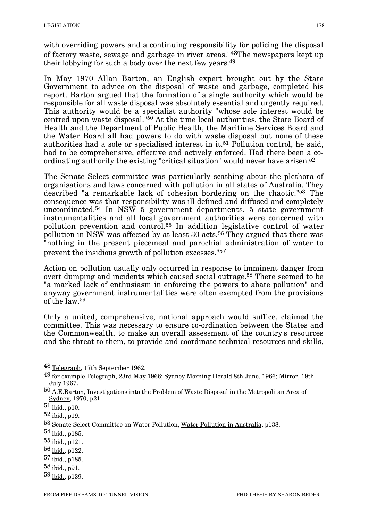with overriding powers and a continuing responsibility for policing the disposal of factory waste, sewage and garbage in river areas."48The newspapers kept up their lobbying for such a body over the next few years.49

In May 1970 Allan Barton, an English expert brought out by the State Government to advice on the disposal of waste and garbage, completed his report. Barton argued that the formation of a single authority which would be responsible for all waste disposal was absolutely essential and urgently required. This authority would be a specialist authority "whose sole interest would be centred upon waste disposal."50 At the time local authorities, the State Board of Health and the Department of Public Health, the Maritime Services Board and the Water Board all had powers to do with waste disposal but none of these authorities had a sole or specialised interest in it.51 Pollution control, he said, had to be comprehensive, effective and actively enforced. Had there been a coordinating authority the existing "critical situation" would never have arisen.<sup>52</sup>

The Senate Select committee was particularly scathing about the plethora of organisations and laws concerned with pollution in all states of Australia. They described "a remarkable lack of cohesion bordering on the chaotic."53 The consequence was that responsibility was ill defined and diffused and completely uncoordinated.54 In NSW 5 government departments, 5 state government instrumentalities and all local government authorities were concerned with pollution prevention and control.55 In addition legislative control of water pollution in NSW was affected by at least 30 acts.<sup>56</sup> They argued that there was "nothing in the present piecemeal and parochial administration of water to prevent the insidious growth of pollution excesses."<sup>57</sup>

Action on pollution usually only occurred in response to imminent danger from overt dumping and incidents which caused social outrage.58 There seemed to be "a marked lack of enthusiasm in enforcing the powers to abate pollution" and anyway government instrumentalities were often exempted from the provisions of the law.59

Only a united, comprehensive, national approach would suffice, claimed the committee. This was necessary to ensure co-ordination between the States and the Commonwealth, to make an overall assessment of the country's resources and the threat to them, to provide and coordinate technical resources and skills,

58 ibid., p91.

 <sup>48</sup> Telegraph, 17th September 1962.

<sup>49</sup> for example Telegraph, 23rd May 1966; Sydney Morning Herald 8th June, 1966; Mirror, 19th July 1967.

<sup>50</sup> A.E.Barton, Investigations into the Problem of Waste Disposal in the Metropolitan Area of Sydney, 1970, p21.

 $51$  ibid., p10.

 $52$  ibid., p19.

<sup>53</sup> Senate Select Committee on Water Pollution, Water Pollution in Australia, p138.

<sup>54</sup> ibid., p185.

<sup>55</sup> ibid., p121.

<sup>56</sup> ibid., p122.

<sup>57</sup> ibid., p185.

<sup>59</sup> ibid., p139.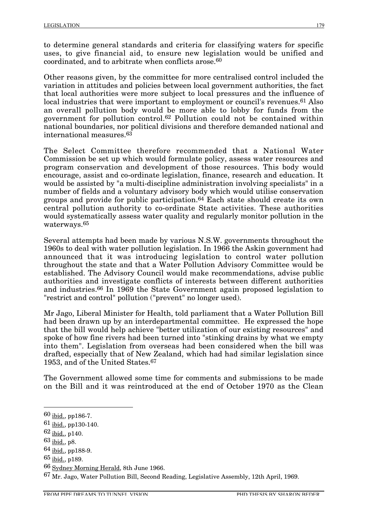to determine general standards and criteria for classifying waters for specific uses, to give financial aid, to ensure new legislation would be unified and coordinated, and to arbitrate when conflicts arose.60

Other reasons given, by the committee for more centralised control included the variation in attitudes and policies between local government authorities, the fact that local authorities were more subject to local pressures and the influence of local industries that were important to employment or council's revenues.<sup>61</sup> Also an overall pollution body would be more able to lobby for funds from the government for pollution control.62 Pollution could not be contained within national boundaries, nor political divisions and therefore demanded national and international measures.63

The Select Committee therefore recommended that a National Water Commission be set up which would formulate policy, assess water resources and program conservation and development of those resources. This body would encourage, assist and co-ordinate legislation, finance, research and education. It would be assisted by "a multi-discipline administration involving specialists" in a number of fields and a voluntary advisory body which would utilise conservation groups and provide for public participation.<sup>64</sup> Each state should create its own central pollution authority to co-ordinate State activities. These authorities would systematically assess water quality and regularly monitor pollution in the waterways.65

Several attempts had been made by various N.S.W. governments throughout the 1960s to deal with water pollution legislation. In 1966 the Askin government had announced that it was introducing legislation to control water pollution throughout the state and that a Water Pollution Advisory Committee would be established. The Advisory Council would make recommendations, advise public authorities and investigate conflicts of interests between different authorities and industries.66 In 1969 the State Government again proposed legislation to "restrict and control" pollution ("prevent" no longer used).

Mr Jago, Liberal Minister for Health, told parliament that a Water Pollution Bill had been drawn up by an interdepartmental committee. He expressed the hope that the bill would help achieve "better utilization of our existing resources" and spoke of how fine rivers had been turned into "stinking drains by what we empty into them". Legislation from overseas had been considered when the bill was drafted, especially that of New Zealand, which had had similar legislation since 1953, and of the United States.67

The Government allowed some time for comments and submissions to be made on the Bill and it was reintroduced at the end of October 1970 as the Clean

 $60$  ibid., pp186-7.

<sup>61</sup> ibid., pp130-140.

<sup>62</sup> ibid., p140.

 $63$  ibid., p8.

<sup>64</sup> ibid., pp188-9.

<sup>65</sup> ibid., p189.

<sup>66</sup> Sydney Morning Herald, 8th June 1966.

<sup>67</sup> Mr. Jago, Water Pollution Bill, Second Reading, Legislative Assembly, 12th April, 1969.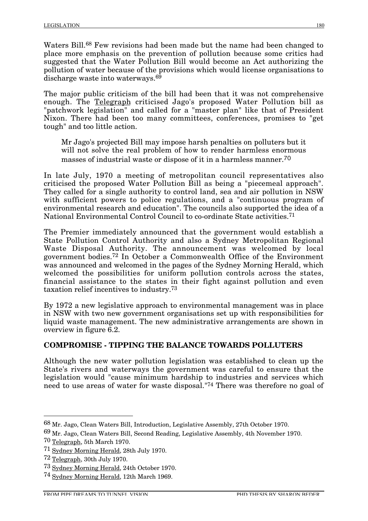Waters Bill.<sup>68</sup> Few revisions had been made but the name had been changed to place more emphasis on the prevention of pollution because some critics had suggested that the Water Pollution Bill would become an Act authorizing the pollution of water because of the provisions which would license organisations to discharge waste into waterways.<sup>69</sup>

The major public criticism of the bill had been that it was not comprehensive enough. The Telegraph criticised Jago's proposed Water Pollution bill as "patchwork legislation" and called for a "master plan" like that of President Nixon. There had been too many committees, conferences, promises to "get tough" and too little action.

Mr Jago's projected Bill may impose harsh penalties on polluters but it will not solve the real problem of how to render harmless enormous masses of industrial waste or dispose of it in a harmless manner.<sup>70</sup>

In late July, 1970 a meeting of metropolitan council representatives also criticised the proposed Water Pollution Bill as being a "piecemeal approach". They called for a single authority to control land, sea and air pollution in NSW with sufficient powers to police regulations, and a "continuous program of environmental research and education". The councils also supported the idea of a National Environmental Control Council to co-ordinate State activities.71

The Premier immediately announced that the government would establish a State Pollution Control Authority and also a Sydney Metropolitan Regional Waste Disposal Authority. The announcement was welcomed by local government bodies.72 In October a Commonwealth Office of the Environment was announced and welcomed in the pages of the Sydney Morning Herald, which welcomed the possibilities for uniform pollution controls across the states, financial assistance to the states in their fight against pollution and even taxation relief incentives to industry.73

By 1972 a new legislative approach to environmental management was in place in NSW with two new government organisations set up with responsibilities for liquid waste management. The new administrative arrangements are shown in overview in figure  $6.2$ .

# **COMPROMISE - TIPPING THE BALANCE TOWARDS POLLUTERS**

Although the new water pollution legislation was established to clean up the State's rivers and waterways the government was careful to ensure that the legislation would "cause minimum hardship to industries and services which need to use areas of water for waste disposal."74 There was therefore no goal of

 <sup>68</sup> Mr. Jago, Clean Waters Bill, Introduction, Legislative Assembly, 27th October 1970.

<sup>69</sup> Mr. Jago, Clean Waters Bill, Second Reading, Legislative Assembly, 4th November 1970.

<sup>70</sup> Telegraph, 5th March 1970.

<sup>71</sup> Sydney Morning Herald, 28th July 1970.

<sup>72</sup> Telegraph, 30th July 1970.

<sup>73</sup> Sydney Morning Herald, 24th October 1970.

<sup>74</sup> Sydney Morning Herald, 12th March 1969.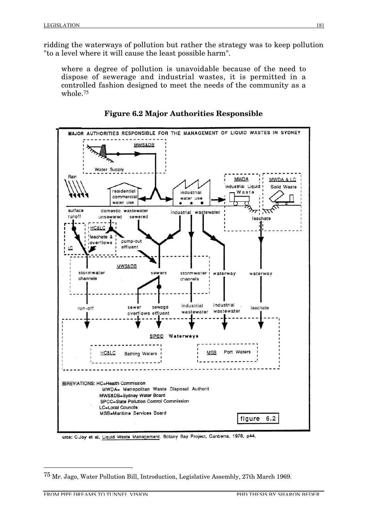ridding the waterways of pollution but rather the strategy was to keep pollution "to a level where it will cause the least possible harm".

where a degree of pollution is unavoidable because of the need to dispose of sewerage and industrial wastes, it is permitted in a controlled fashion designed to meet the needs of the community as a whole.75





urce: C.Joy et al, Liquid Waste Management, Botany Bay Project, Canberra, 1978, p44.

 <sup>75</sup> Mr. Jago, Water Pollution Bill, Introduction, Legislative Assembly, 27th March 1969.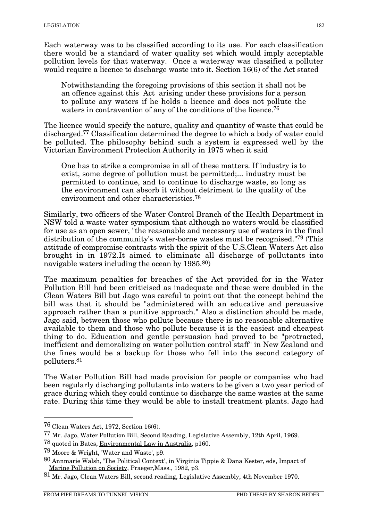Each waterway was to be classified according to its use. For each classification there would be a standard of water quality set which would imply acceptable pollution levels for that waterway. Once a waterway was classified a polluter would require a licence to discharge waste into it. Section 16(6) of the Act stated

Notwithstanding the foregoing provisions of this section it shall not be an offence against this Act arising under these provisions for a person to pollute any waters if he holds a licence and does not pollute the waters in contravention of any of the conditions of the licence.<sup>76</sup>

The licence would specify the nature, quality and quantity of waste that could be discharged.77 Classification determined the degree to which a body of water could be polluted. The philosophy behind such a system is expressed well by the Victorian Environment Protection Authority in 1975 when it said

One has to strike a compromise in all of these matters. If industry is to exist, some degree of pollution must be permitted;... industry must be permitted to continue, and to continue to discharge waste, so long as the environment can absorb it without detriment to the quality of the environment and other characteristics.78

Similarly, two officers of the Water Control Branch of the Health Department in NSW told a waste water symposium that although no waters would be classified for use as an open sewer, "the reasonable and necessary use of waters in the final distribution of the community's water-borne wastes must be recognised."79 (This attitude of compromise contrasts with the spirit of the U.S.Clean Waters Act also brought in in 1972.It aimed to eliminate all discharge of pollutants into navigable waters including the ocean by 1985.80)

The maximum penalties for breaches of the Act provided for in the Water Pollution Bill had been criticised as inadequate and these were doubled in the Clean Waters Bill but Jago was careful to point out that the concept behind the bill was that it should be "administered with an educative and persuasive approach rather than a punitive approach." Also a distinction should be made, Jago said, between those who pollute because there is no reasonable alternative available to them and those who pollute because it is the easiest and cheapest thing to do. Education and gentle persuasion had proved to be "protracted, inefficient and demoralizing on water pollution control staff" in New Zealand and the fines would be a backup for those who fell into the second category of polluters.81

The Water Pollution Bill had made provision for people or companies who had been regularly discharging pollutants into waters to be given a two year period of grace during which they could continue to discharge the same wastes at the same rate. During this time they would be able to install treatment plants. Jago had

 <sup>76</sup> Clean Waters Act, 1972, Section 16(6).

<sup>77</sup> Mr. Jago, Water Pollution Bill, Second Reading, Legislative Assembly, 12th April, 1969.

<sup>78</sup> quoted in Bates, Environmental Law in Australia, p160.

<sup>79</sup> Moore & Wright, 'Water and Waste', p9.

<sup>80</sup> Annmarie Walsh, 'The Political Context', in Virginia Tippie & Dana Kester, eds, Impact of Marine Pollution on Society, Praeger, Mass., 1982, p3.

<sup>81</sup> Mr. Jago, Clean Waters Bill, second reading, Legislative Assembly, 4th November 1970.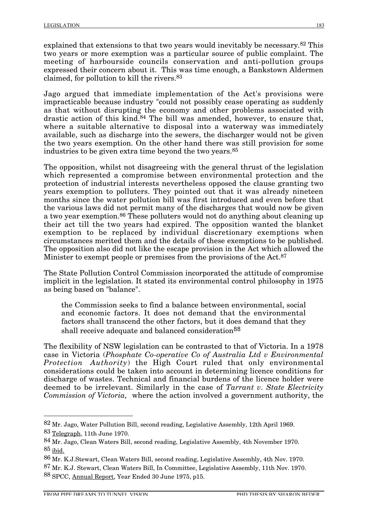explained that extensions to that two years would inevitably be necessary.82 This two years or more exemption was a particular source of public complaint. The meeting of harbourside councils conservation and anti-pollution groups expressed their concern about it. This was time enough, a Bankstown Aldermen claimed, for pollution to kill the rivers.83

Jago argued that immediate implementation of the Act's provisions were impracticable because industry "could not possibly cease operating as suddenly as that without disrupting the economy and other problems associated with drastic action of this kind.84 The bill was amended, however, to ensure that, where a suitable alternative to disposal into a waterway was immediately available, such as discharge into the sewers, the discharger would not be given the two years exemption. On the other hand there was still provision for some industries to be given extra time beyond the two years.85

The opposition, whilst not disagreeing with the general thrust of the legislation which represented a compromise between environmental protection and the protection of industrial interests nevertheless opposed the clause granting two years exemption to polluters. They pointed out that it was already nineteen months since the water pollution bill was first introduced and even before that the various laws did not permit many of the discharges that would now be given a two year exemption.86 These polluters would not do anything about cleaning up their act till the two years had expired. The opposition wanted the blanket exemption to be replaced by individual discretionary exemptions when circumstances merited them and the details of these exemptions to be published. The opposition also did not like the escape provision in the Act which allowed the Minister to exempt people or premises from the provisions of the Act.<sup>87</sup>

The State Pollution Control Commission incorporated the attitude of compromise implicit in the legislation. It stated its environmental control philosophy in 1975 as being based on "balance".

the Commission seeks to find a balance between environmental, social and economic factors. It does not demand that the environmental factors shall transcend the other factors, but it does demand that they shall receive adequate and balanced consideration<sup>88</sup>

The flexibility of NSW legislation can be contrasted to that of Victoria. In a 1978 case in Victoria (*Phosphate Co-operative Co of Australia Ltd v Environmental Protection Authority*) the High Court ruled that only environmental considerations could be taken into account in determining licence conditions for discharge of wastes. Technical and financial burdens of the licence holder were deemed to be irrelevant. Similarly in the case of *Tarrant v. State Electricity Commission of Victoria,* where the action involved a government authority, the

88 SPCC, Annual Report, Year Ended 30 June 1975, p15.

 <sup>82</sup> Mr. Jago, Water Pollution Bill, second reading, Legislative Assembly, 12th April 1969. 83 Telegraph, 11th June 1970.

<sup>84</sup> Mr. Jago, Clean Waters Bill, second reading, Legislative Assembly, 4th November 1970. 85 ibid.

<sup>86</sup> Mr. K.J.Stewart, Clean Waters Bill, second reading, Legislative Assembly, 4th Nov. 1970. 87 Mr. K.J. Stewart, Clean Waters Bill, In Committee, Legislative Assembly, 11th Nov. 1970.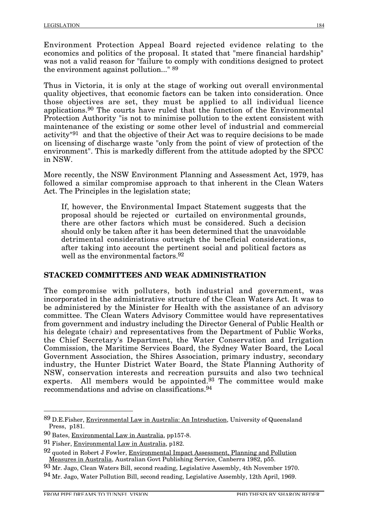Environment Protection Appeal Board rejected evidence relating to the economics and politics of the proposal. It stated that "mere financial hardship" was not a valid reason for "failure to comply with conditions designed to protect the environment against pollution..." 89

Thus in Victoria, it is only at the stage of working out overall environmental quality objectives, that economic factors can be taken into consideration. Once those objectives are set, they must be applied to all individual licence applications.90 The courts have ruled that the function of the Environmental Protection Authority "is not to minimise pollution to the extent consistent with maintenance of the existing or some other level of industrial and commercial activity"91 and that the objective of their Act was to require decisions to be made on licensing of discharge waste "only from the point of view of protection of the environment". This is markedly different from the attitude adopted by the SPCC in NSW.

More recently, the NSW Environment Planning and Assessment Act, 1979, has followed a similar compromise approach to that inherent in the Clean Waters Act. The Principles in the legislation state;

If, however, the Environmental Impact Statement suggests that the proposal should be rejected or curtailed on environmental grounds, there are other factors which must be considered. Such a decision should only be taken after it has been determined that the unavoidable detrimental considerations outweigh the beneficial considerations, after taking into account the pertinent social and political factors as well as the environmental factors.<sup>92</sup>

## **STACKED COMMITTEES AND WEAK ADMINISTRATION**

The compromise with polluters, both industrial and government, was incorporated in the administrative structure of the Clean Waters Act. It was to be administered by the Minister for Health with the assistance of an advisory committee. The Clean Waters Advisory Committee would have representatives from government and industry including the Director General of Public Health or his delegate (chair) and representatives from the Department of Public Works, the Chief Secretary's Department, the Water Conservation and Irrigation Commission, the Maritime Services Board, the Sydney Water Board, the Local Government Association, the Shires Association, primary industry, secondary industry, the Hunter District Water Board, the State Planning Authority of NSW, conservation interests and recreation pursuits and also two technical experts. All members would be appointed.<sup>93</sup> The committee would make recommendations and advise on classifications.94

 <sup>89</sup> D.E.Fisher, Environmental Law in Australia: An Introduction, University of Queensland Press, p181.

<sup>90</sup> Bates, Environmental Law in Australia, pp157-8.

<sup>91</sup> Fisher, Environmental Law in Australia, p182.

<sup>92</sup> quoted in Robert J Fowler, Environmental Impact Assessment, Planning and Pollution Measures in Australia, Australian Govt Publishing Service, Canberra 1982, p55.

<sup>93</sup> Mr. Jago, Clean Waters Bill, second reading, Legislative Assembly, 4th November 1970.

<sup>94</sup> Mr. Jago, Water Pollution Bill, second reading, Legislative Assembly, 12th April, 1969.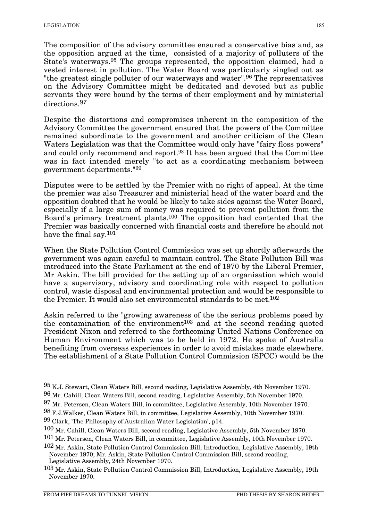The composition of the advisory committee ensured a conservative bias and, as the opposition argued at the time, consisted of a majority of polluters of the State's waterways.95 The groups represented, the opposition claimed, had a vested interest in pollution. The Water Board was particularly singled out as "the greatest single polluter of our waterways and water".<sup>96</sup> The representatives on the Advisory Committee might be dedicated and devoted but as public servants they were bound by the terms of their employment and by ministerial directions.<sup>97</sup>

Despite the distortions and compromises inherent in the composition of the Advisory Committee the government ensured that the powers of the Committee remained subordinate to the government and another criticism of the Clean Waters Legislation was that the Committee would only have "fairy floss powers" and could only recommend and report.<sup>98</sup> It has been argued that the Committee was in fact intended merely "to act as a coordinating mechanism between government departments."99

Disputes were to be settled by the Premier with no right of appeal. At the time the premier was also Treasurer and ministerial head of the water board and the opposition doubted that he would be likely to take sides against the Water Board, especially if a large sum of money was required to prevent pollution from the Board's primary treatment plants.100 The opposition had contented that the Premier was basically concerned with financial costs and therefore he should not have the final say.101

When the State Pollution Control Commission was set up shortly afterwards the government was again careful to maintain control. The State Pollution Bill was introduced into the State Parliament at the end of 1970 by the Liberal Premier, Mr Askin. The bill provided for the setting up of an organisation which would have a supervisory, advisory and coordinating role with respect to pollution control, waste disposal and environmental protection and would be responsible to the Premier. It would also set environmental standards to be met.<sup>102</sup>

Askin referred to the "growing awareness of the the serious problems posed by the contamination of the environment<sup>103</sup> and at the second reading quoted President Nixon and referred to the forthcoming United Nations Conference on Human Environment which was to be held in 1972. He spoke of Australia benefiting from overseas experiences in order to avoid mistakes made elsewhere. The establishment of a State Pollution Control Commission (SPCC) would be the

- 97 Mr. Petersen, Clean Waters Bill, in committee, Legislative Assembly, 10th November 1970.
- 98 F.J.Walker, Clean Waters Bill, in committee, Legislative Assembly, 10th November 1970. 99 Clark, 'The Philosophy of Australian Water Legislation', p14.

 <sup>95</sup> K.J. Stewart, Clean Waters Bill, second reading, Legislative Assembly, 4th November 1970. 96 Mr. Cahill, Clean Waters Bill, second reading, Legislative Assembly, 5th November 1970.

<sup>100</sup> Mr. Cahill, Clean Waters Bill, second reading, Legislative Assembly, 5th November 1970.

<sup>101</sup> Mr. Petersen, Clean Waters Bill, in committee, Legislative Assembly, 10th November 1970.

<sup>102</sup> Mr. Askin, State Pollution Control Commission Bill, Introduction, Legislative Assembly, 19th November 1970; Mr. Askin, State Pollution Control Commission Bill, second reading, Legislative Assembly, 24th November 1970.

<sup>103</sup> Mr. Askin, State Pollution Control Commission Bill, Introduction, Legislative Assembly, 19th November 1970.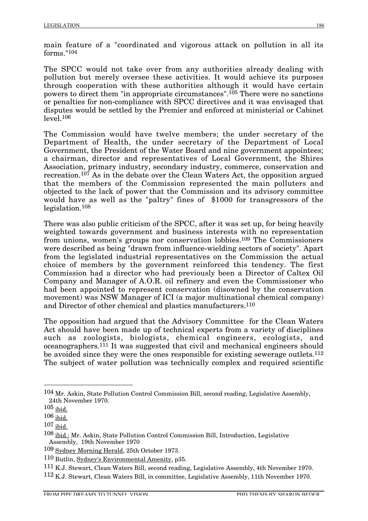main feature of a "coordinated and vigorous attack on pollution in all its forms."104

The SPCC would not take over from any authorities already dealing with pollution but merely oversee these activities. It would achieve its purposes through cooperation with these authorities although it would have certain powers to direct them "in appropriate circumstances".105 There were no sanctions or penalties for non-compliance with SPCC directives and it was envisaged that disputes would be settled by the Premier and enforced at ministerial or Cabinet  $level<sub>.106</sub>$ 

The Commission would have twelve members; the under secretary of the Department of Health, the under secretary of the Department of Local Government, the President of the Water Board and nine government appointees; a chairman, director and representatives of Local Government, the Shires Association, primary industry, secondary industry, commerce, conservation and recreation.<sup>107</sup> As in the debate over the Clean Waters Act, the opposition argued that the members of the Commission represented the main polluters and objected to the lack of power that the Commission and its advisory committee would have as well as the "paltry" fines of \$1000 for transgressors of the legislation.108

There was also public criticism of the SPCC, after it was set up, for being heavily weighted towards government and business interests with no representation from unions, women's groups nor conservation lobbies.109 The Commissioners were described as being "drawn from influence-wielding sectors of society". Apart from the legislated industrial representatives on the Commission the actual choice of members by the government reinforced this tendency. The first Commission had a director who had previously been a Director of Caltex Oil Company and Manager of A.O.R. oil refinery and even the Commissioner who had been appointed to represent conservation (disowned by the conservation movement) was NSW Manager of ICI (a major multinational chemical company) and Director of other chemical and plastics manufacturers.110

The opposition had argued that the Advisory Committee for the Clean Waters Act should have been made up of technical experts from a variety of disciplines such as zoologists, biologists, chemical engineers, ecologists, and oceanographers.111 It was suggested that civil and mechanical engineers should be avoided since they were the ones responsible for existing sewerage outlets.112 The subject of water pollution was technically complex and required scientific

 <sup>104</sup> Mr. Askin, State Pollution Control Commission Bill, second reading, Legislative Assembly, 24th November 1970.

 $105$  ibid.

<sup>106</sup> ibid.

<sup>107</sup> ibid.

<sup>&</sup>lt;sup>108</sup> ibid.; Mr. Askin, State Pollution Control Commission Bill, Introduction, Legislative Assembly, 19th November 1970

<sup>109</sup> Sydney Morning Herald, 25th October 1973.

<sup>110</sup> Butlin, Sydney's Environmental Amenity, p35.

<sup>111</sup> K.J. Stewart, Clean Waters Bill, second reading, Legislative Assembly, 4th November 1970.

<sup>112</sup> K.J. Stewart, Clean Waters Bill, in committee, Legislative Assembly, 11th November 1970.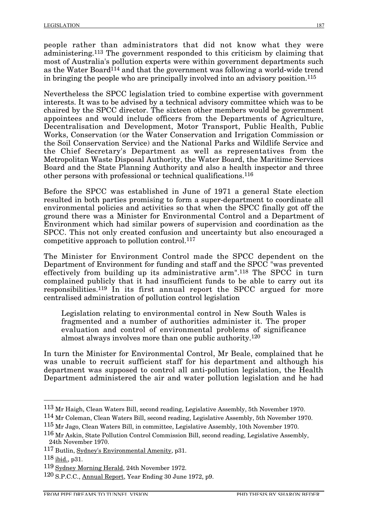people rather than administrators that did not know what they were administering.113 The government responded to this criticism by claiming that most of Australia's pollution experts were within government departments such as the Water Board<sup>114</sup> and that the government was following a world-wide trend in bringing the people who are principally involved into an advisory position.115

Nevertheless the SPCC legislation tried to combine expertise with government interests. It was to be advised by a technical advisory committee which was to be chaired by the SPCC director. The sixteen other members would be government appointees and would include officers from the Departments of Agriculture, Decentralisation and Development, Motor Transport, Public Health, Public Works, Conservation (or the Water Conservation and Irrigation Commission or the Soil Conservation Service) and the National Parks and Wildlife Service and the Chief Secretary's Department as well as representatives from the Metropolitan Waste Disposal Authority, the Water Board, the Maritime Services Board and the State Planning Authority and also a health inspector and three other persons with professional or technical qualifications.116

Before the SPCC was established in June of 1971 a general State election resulted in both parties promising to form a super-department to coordinate all environmental policies and activities so that when the SPCC finally got off the ground there was a Minister for Environmental Control and a Department of Environment which had similar powers of supervision and coordination as the SPCC. This not only created confusion and uncertainty but also encouraged a competitive approach to pollution control. $117$ 

The Minister for Environment Control made the SPCC dependent on the Department of Environment for funding and staff and the SPCC "was prevented effectively from building up its administrative arm".118 The SPCC in turn complained publicly that it had insufficient funds to be able to carry out its responsibilities.119 In its first annual report the SPCC argued for more centralised administration of pollution control legislation

Legislation relating to environmental control in New South Wales is fragmented and a number of authorities administer it. The proper evaluation and control of environmental problems of significance almost always involves more than one public authority.120

In turn the Minister for Environmental Control, Mr Beale, complained that he was unable to recruit sufficient staff for his department and although his department was supposed to control all anti-pollution legislation, the Health Department administered the air and water pollution legislation and he had

 <sup>113</sup> Mr Haigh, Clean Waters Bill, second reading, Legislative Assembly, 5th November 1970.

<sup>114</sup> Mr Coleman, Clean Waters Bill, second reading, Legislative Assembly, 5th November 1970.

<sup>115</sup> Mr Jago, Clean Waters Bill, in committee, Legislative Assembly, 10th November 1970.

<sup>116</sup> Mr Askin, State Pollution Control Commission Bill, second reading, Legislative Assembly, 24th November 1970.

<sup>117</sup> Butlin, Sydney's Environmental Amenity, p31.

<sup>118</sup> ibid., p31.

<sup>119</sup> Sydney Morning Herald, 24th November 1972.

<sup>120</sup> S.P.C.C., Annual Report, Year Ending 30 June 1972, p9.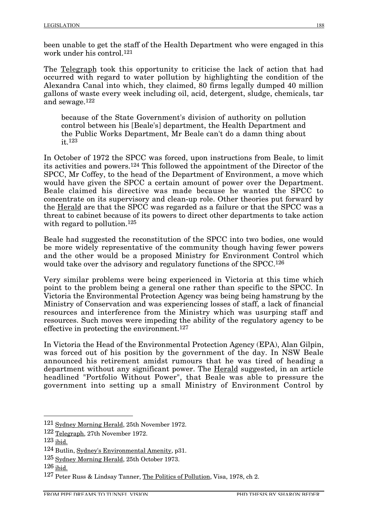been unable to get the staff of the Health Department who were engaged in this work under his control.121

The Telegraph took this opportunity to criticise the lack of action that had occurred with regard to water pollution by highlighting the condition of the Alexandra Canal into which, they claimed, 80 firms legally dumped 40 million gallons of waste every week including oil, acid, detergent, sludge, chemicals, tar and sewage.122

because of the State Government's division of authority on pollution control between his [Beale's] department, the Health Department and the Public Works Department, Mr Beale can't do a damn thing about it.123

In October of 1972 the SPCC was forced, upon instructions from Beale, to limit its activities and powers.124 This followed the appointment of the Director of the SPCC, Mr Coffey, to the head of the Department of Environment, a move which would have given the SPCC a certain amount of power over the Department. Beale claimed his directive was made because he wanted the SPCC to concentrate on its supervisory and clean-up role. Other theories put forward by the Herald are that the SPCC was regarded as a failure or that the SPCC was a threat to cabinet because of its powers to direct other departments to take action with regard to pollution.<sup>125</sup>

Beale had suggested the reconstitution of the SPCC into two bodies, one would be more widely representative of the community though having fewer powers and the other would be a proposed Ministry for Environment Control which would take over the advisory and regulatory functions of the SPCC.<sup>126</sup>

Very similar problems were being experienced in Victoria at this time which point to the problem being a general one rather than specific to the SPCC. In Victoria the Environmental Protection Agency was being being hamstrung by the Ministry of Conservation and was experiencing losses of staff, a lack of financial resources and interference from the Ministry which was usurping staff and resources. Such moves were impeding the ability of the regulatory agency to be effective in protecting the environment.127

In Victoria the Head of the Environmental Protection Agency (EPA), Alan Gilpin, was forced out of his position by the government of the day. In NSW Beale announced his retirement amidst rumours that he was tired of heading a department without any significant power. The Herald suggested, in an article headlined "Portfolio Without Power", that Beale was able to pressure the government into setting up a small Ministry of Environment Control by

 <sup>121</sup> Sydney Morning Herald, 25th November 1972.

<sup>122</sup> Telegraph, 27th November 1972.

 $123$  ibid.

<sup>124</sup> Butlin, Sydney's Environmental Amenity, p31.

<sup>125</sup> Sydney Morning Herald, 25th October 1973.

 $126$  ibid.

<sup>127</sup> Peter Russ & Lindsay Tanner, The Politics of Pollution, Visa, 1978, ch 2.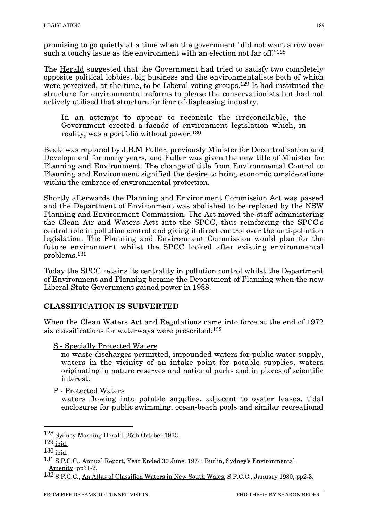promising to go quietly at a time when the government "did not want a row over such a touchy issue as the environment with an election not far off."<sup>128</sup>

The Herald suggested that the Government had tried to satisfy two completely opposite political lobbies, big business and the environmentalists both of which were perceived, at the time, to be Liberal voting groups.<sup>129</sup> It had instituted the structure for environmental reforms to please the conservationists but had not actively utilised that structure for fear of displeasing industry.

In an attempt to appear to reconcile the irreconcilable, the Government erected a facade of environment legislation which, in reality, was a portfolio without power.130

Beale was replaced by J.B.M Fuller, previously Minister for Decentralisation and Development for many years, and Fuller was given the new title of Minister for Planning and Environment. The change of title from Environmental Control to Planning and Environment signified the desire to bring economic considerations within the embrace of environmental protection.

Shortly afterwards the Planning and Environment Commission Act was passed and the Department of Environment was abolished to be replaced by the NSW Planning and Environment Commission. The Act moved the staff administering the Clean Air and Waters Acts into the SPCC, thus reinforcing the SPCC's central role in pollution control and giving it direct control over the anti-pollution legislation. The Planning and Environment Commission would plan for the future environment whilst the SPCC looked after existing environmental problems.131

Today the SPCC retains its centrality in pollution control whilst the Department of Environment and Planning became the Department of Planning when the new Liberal State Government gained power in 1988.

#### **CLASSIFICATION IS SUBVERTED**

When the Clean Waters Act and Regulations came into force at the end of 1972 six classifications for waterways were prescribed:132

S - Specially Protected Waters

no waste discharges permitted, impounded waters for public water supply, waters in the vicinity of an intake point for potable supplies, waters originating in nature reserves and national parks and in places of scientific interest.

P - Protected Waters

waters flowing into potable supplies, adjacent to oyster leases, tidal enclosures for public swimming, ocean-beach pools and similar recreational

 <sup>128</sup> Sydney Morning Herald, 25th October 1973.

<sup>129</sup> ibid.

<sup>130</sup> ibid.

<sup>131</sup> S.P.C.C., Annual Report, Year Ended 30 June, 1974; Butlin, Sydney's Environmental Amenity, pp31-2.

<sup>132</sup> S.P.C.C., An Atlas of Classified Waters in New South Wales, S.P.C.C., January 1980, pp2-3.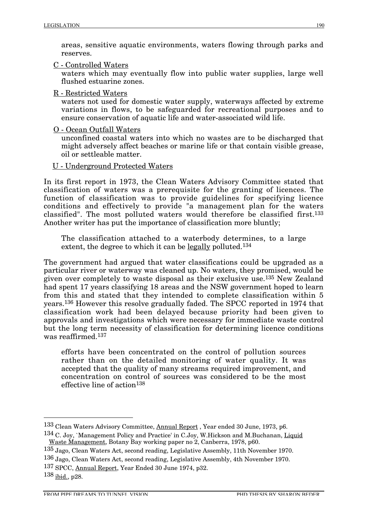areas, sensitive aquatic environments, waters flowing through parks and reserves.

C - Controlled Waters

waters which may eventually flow into public water supplies, large well flushed estuarine zones.

R - Restricted Waters

waters not used for domestic water supply, waterways affected by extreme variations in flows, to be safeguarded for recreational purposes and to ensure conservation of aquatic life and water-associated wild life.

O - Ocean Outfall Waters

unconfined coastal waters into which no wastes are to be discharged that might adversely affect beaches or marine life or that contain visible grease, oil or settleable matter.

U - Underground Protected Waters

In its first report in 1973, the Clean Waters Advisory Committee stated that classification of waters was a prerequisite for the granting of licences. The function of classification was to provide guidelines for specifying licence conditions and effectively to provide "a management plan for the waters classified". The most polluted waters would therefore be classified first.133 Another writer has put the importance of classification more bluntly;

The classification attached to a waterbody determines, to a large extent, the degree to which it can be legally polluted.<sup>134</sup>

The government had argued that water classifications could be upgraded as a particular river or waterway was cleaned up. No waters, they promised, would be given over completely to waste disposal as their exclusive use.135 New Zealand had spent 17 years classifying 18 areas and the NSW government hoped to learn from this and stated that they intended to complete classification within 5 years.136 However this resolve gradually faded. The SPCC reported in 1974 that classification work had been delayed because priority had been given to approvals and investigations which were necessary for immediate waste control but the long term necessity of classification for determining licence conditions was reaffirmed.137

efforts have been concentrated on the control of pollution sources rather than on the detailed monitoring of water quality. It was accepted that the quality of many streams required improvement, and concentration on control of sources was considered to be the most effective line of  $\arctan 138$ 

 <sup>133</sup> Clean Waters Advisory Committee, Annual Report , Year ended 30 June, 1973, p6.

<sup>134</sup> C. Joy, `Management Policy and Practice' in C.Joy, W.Hickson and M.Buchanan, Liquid Waste Management, Botany Bay working paper no 2, Canberra, 1978, p60.

<sup>135</sup> Jago, Clean Waters Act, second reading, Legislative Assembly, 11th November 1970.

<sup>136</sup> Jago, Clean Waters Act, second reading, Legislative Assembly, 4th November 1970.

<sup>137</sup> SPCC, Annual Report, Year Ended 30 June 1974, p32.

<sup>138</sup> ibid., p28.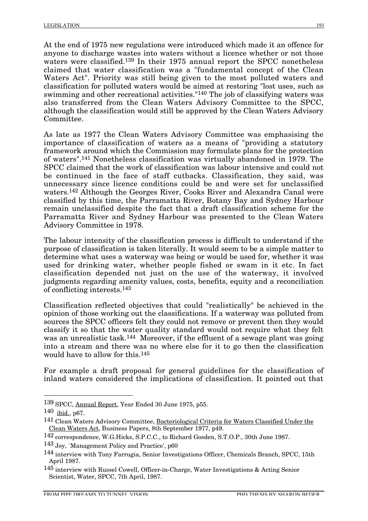At the end of 1975 new regulations were introduced which made it an offence for anyone to discharge wastes into waters without a licence whether or not those waters were classified.139 In their 1975 annual report the SPCC nonetheless claimed that water classification was a "fundamental concept of the Clean Waters Act". Priority was still being given to the most polluted waters and classification for polluted waters would be aimed at restoring "lost uses, such as swimming and other recreational activities."140 The job of classifying waters was also transferred from the Clean Waters Advisory Committee to the SPCC, although the classification would still be approved by the Clean Waters Advisory Committee.

As late as 1977 the Clean Waters Advisory Committee was emphasising the importance of classification of waters as a means of "providing a statutory framework around which the Commission may formulate plans for the protection of waters".141 Nonetheless classification was virtually abandoned in 1979. The SPCC claimed that the work of classification was labour intensive and could not be continued in the face of staff cutbacks. Classification, they said, was unnecessary since licence conditions could be and were set for unclassified waters.142 Although the Georges River, Cooks River and Alexandra Canal were classified by this time, the Parramatta River, Botany Bay and Sydney Harbour remain unclassified despite the fact that a draft classification scheme for the Parramatta River and Sydney Harbour was presented to the Clean Waters Advisory Committee in 1978.

The labour intensity of the classification process is difficult to understand if the purpose of classification is taken literally. It would seem to be a simple matter to determine what uses a waterway was being or would be used for, whether it was used for drinking water, whether people fished or swam in it etc. In fact classification depended not just on the use of the waterway, it involved judgments regarding amenity values, costs, benefits, equity and a reconciliation of conflicting interests.143

Classification reflected objectives that could "realistically" be achieved in the opinion of those working out the classifications. If a waterway was polluted from sources the SPCC officers felt they could not remove or prevent then they would classify it so that the water quality standard would not require what they felt was an unrealistic task.<sup>144</sup> Moreover, if the effluent of a sewage plant was going into a stream and there was no where else for it to go then the classification would have to allow for this.145

For example a draft proposal for general guidelines for the classification of inland waters considered the implications of classification. It pointed out that

 <sup>139</sup> SPCC, Annual Report, Year Ended 30 June 1975, p55.

<sup>140</sup> ibid., p67.

<sup>141</sup> Clean Waters Advisory Committee, Bacteriological Criteria for Waters Classified Under the Clean Waters Act, Business Papers, 8th September 1977, p49.

<sup>142</sup> correspondence, W.G.Hicks, S.P.C.C., to Richard Gosden, S.T.O.P., 30th June 1987.

<sup>143</sup> Joy, `Management Policy and Practice', p60

<sup>144</sup> interview with Tony Farrugia, Senior Investigations Officer, Chemicals Branch, SPCC, 15th April 1987.

<sup>145</sup> interview with Russel Cowell, Officer-in-Charge, Water Investigations & Acting Senior Scientist, Water, SPCC, 7th April, 1987.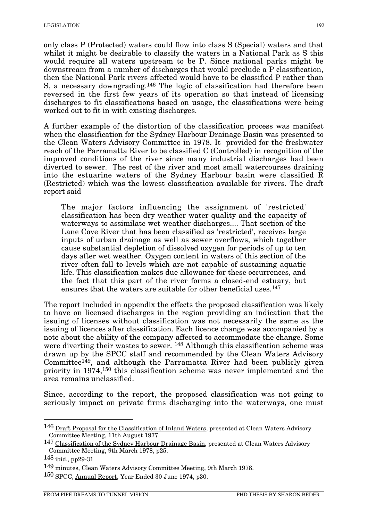only class P (Protected) waters could flow into class S (Special) waters and that whilst it might be desirable to classify the waters in a National Park as S this would require all waters upstream to be P. Since national parks might be downstream from a number of discharges that would preclude a P classification, then the National Park rivers affected would have to be classified P rather than S, a necessary downgrading.146 The logic of classification had therefore been reversed in the first few years of its operation so that instead of licensing discharges to fit classifications based on usage, the classifications were being worked out to fit in with existing discharges.

A further example of the distortion of the classification process was manifest when the classification for the Sydney Harbour Drainage Basin was presented to the Clean Waters Advisory Committee in 1978. It provided for the freshwater reach of the Parramatta River to be classified C (Controlled) in recognition of the improved conditions of the river since many industrial discharges had been diverted to sewer. The rest of the river and most small watercourses draining into the estuarine waters of the Sydney Harbour basin were classified R (Restricted) which was the lowest classification available for rivers. The draft report said

The major factors influencing the assignment of 'restricted' classification has been dry weather water quality and the capacity of waterways to assimilate wet weather discharges.... That section of the Lane Cove River that has been classified as 'restricted', receives large inputs of urban drainage as well as sewer overflows, which together cause substantial depletion of dissolved oxygen for periods of up to ten days after wet weather. Oxygen content in waters of this section of the river often fall to levels which are not capable of sustaining aquatic life. This classification makes due allowance for these occurrences, and the fact that this part of the river forms a closed-end estuary, but ensures that the waters are suitable for other beneficial uses.147

The report included in appendix the effects the proposed classification was likely to have on licensed discharges in the region providing an indication that the issuing of licenses without classification was not necessarily the same as the issuing of licences after classification. Each licence change was accompanied by a note about the ability of the company affected to accommodate the change. Some were diverting their wastes to sewer. <sup>148</sup> Although this classification scheme was drawn up by the SPCC staff and recommended by the Clean Waters Advisory Committee149, and although the Parramatta River had been publicly given priority in 1974,150 this classification scheme was never implemented and the area remains unclassified.

Since, according to the report, the proposed classification was not going to seriously impact on private firms discharging into the waterways, one must

<sup>146</sup> Draft Proposal for the Classification of Inland Waters, presented at Clean Waters Advisory Committee Meeting, 11th August 1977.

<sup>147</sup> Classification of the Sydney Harbour Drainage Basin, presented at Clean Waters Advisory Committee Meeting, 9th March 1978, p25.

 $148$  ibid., pp29-31

<sup>149</sup> minutes, Clean Waters Advisory Committee Meeting, 9th March 1978.

<sup>150</sup> SPCC, Annual Report, Year Ended 30 June 1974, p30.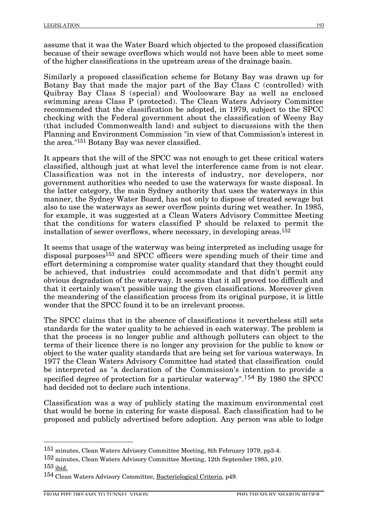assume that it was the Water Board which objected to the proposed classification because of their sewage overflows which would not have been able to meet some of the higher classifications in the upstream areas of the drainage basin.

Similarly a proposed classification scheme for Botany Bay was drawn up for Botany Bay that made the major part of the Bay Class C (controlled) with Quibray Bay Class S (special) and Woolooware Bay as well as enclosed swimming areas Class P (protected). The Clean Waters Advisory Committee recommended that the classification be adopted, in 1979, subject to the SPCC checking with the Federal government about the classification of Weeny Bay (that included Commonwealth land) and subject to discussions with the then Planning and Environment Commission "in view of that Commission's interest in the area."151 Botany Bay was never classified.

It appears that the will of the SPCC was not enough to get these critical waters classified, although just at what level the interference came from is not clear. Classification was not in the interests of industry, nor developers, nor government authorities who needed to use the waterways for waste disposal. In the latter category, the main Sydney authority that uses the waterways in this manner, the Sydney Water Board, has not only to dispose of treated sewage but also to use the waterways as sewer overflow points during wet weather. In 1985, for example, it was suggested at a Clean Waters Advisory Committee Meeting that the conditions for waters classified P should be relaxed to permit the installation of sewer overflows, where necessary, in developing areas.152

It seems that usage of the waterway was being interpreted as including usage for disposal purposes<sup>153</sup> and SPCC officers were spending much of their time and effort determining a compromise water quality standard that they thought could be achieved, that industries could accommodate and that didn't permit any obvious degradation of the waterway. It seems that it all proved too difficult and that it certainly wasn't possible using the given classifications. Moreover given the meandering of the classification process from its original purpose, it is little wonder that the SPCC found it to be an irrelevant process.

The SPCC claims that in the absence of classifications it nevertheless still sets standards for the water quality to be achieved in each waterway. The problem is that the process is no longer public and although polluters can object to the terms of their licence there is no longer any provision for the public to know or object to the water quality standards that are being set for various waterways. In 1977 the Clean Waters Advisory Committee had stated that classification could be interpreted as "a declaration of the Commission's intention to provide a specified degree of protection for a particular waterway".<sup>154</sup> By 1980 the SPCC had decided not to declare such intentions.

Classification was a way of publicly stating the maximum environmental cost that would be borne in catering for waste disposal. Each classification had to be proposed and publicly advertised before adoption. Any person was able to lodge

152 minutes, Clean Waters Advisory Committee Meeting, 12th September 1985, p10. 153 ibid.

 <sup>151</sup> minutes, Clean Waters Advisory Committee Meeting, 8th February 1979, pp3-4.

<sup>154</sup> Clean Waters Advisory Committee, Bacteriological Criteria, p49.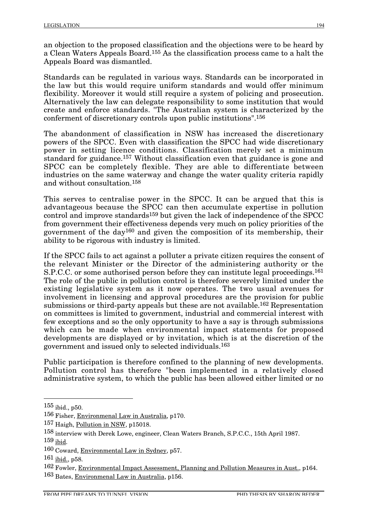an objection to the proposed classification and the objections were to be heard by a Clean Waters Appeals Board.155 As the classification process came to a halt the Appeals Board was dismantled.

Standards can be regulated in various ways. Standards can be incorporated in the law but this would require uniform standards and would offer minimum flexibility. Moreover it would still require a system of policing and prosecution. Alternatively the law can delegate responsibility to some institution that would create and enforce standards. "The Australian system is characterized by the conferment of discretionary controls upon public institutions".156

The abandonment of classification in NSW has increased the discretionary powers of the SPCC. Even with classification the SPCC had wide discretionary power in setting licence conditions. Classification merely set a minimum standard for guidance.157 Without classification even that guidance is gone and SPCC can be completely flexible. They are able to differentiate between industries on the same waterway and change the water quality criteria rapidly and without consultation.158

This serves to centralise power in the SPCC. It can be argued that this is advantageous because the SPCC can then accumulate expertise in pollution control and improve standards159 but given the lack of independence of the SPCC from government their effectiveness depends very much on policy priorities of the government of the day160 and given the composition of its membership, their ability to be rigorous with industry is limited.

If the SPCC fails to act against a polluter a private citizen requires the consent of the relevant Minister or the Director of the administering authority or the S.P.C.C. or some authorised person before they can institute legal proceedings.161 The role of the public in pollution control is therefore severely limited under the existing legislative system as it now operates. The two usual avenues for involvement in licensing and approval procedures are the provision for public submissions or third-party appeals but these are not available.162 Representation on committees is limited to government, industrial and commercial interest with few exceptions and so the only opportunity to have a say is through submissions which can be made when environmental impact statements for proposed developments are displayed or by invitation, which is at the discretion of the government and issued only to selected individuals.163

Public participation is therefore confined to the planning of new developments. Pollution control has therefore "been implemented in a relatively closed administrative system, to which the public has been allowed either limited or no

 <sup>155</sup> ibid., p50.

<sup>156</sup> Fisher, Environmenal Law in Australia, p170.

<sup>157</sup> Haigh, Pollution in NSW, p15018.

<sup>158</sup> interview with Derek Lowe, engineer, Clean Waters Branch, S.P.C.C., 15th April 1987.

 $159$  ibid.

<sup>160</sup> Coward, Environmental Law in Sydney, p57.

 $161$  ibid., p58.

<sup>162</sup> Fowler, Environmental Impact Assessment, Planning and Pollution Measures in Aust., p164. 163 Bates, Environmenal Law in Australia, p156.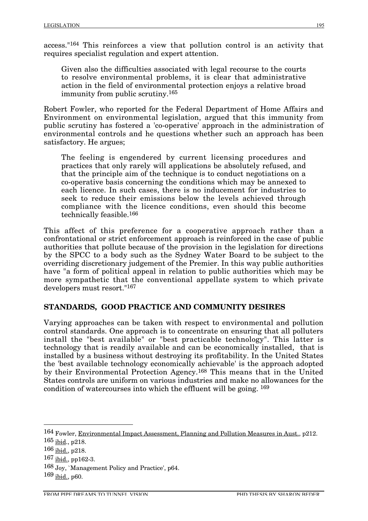access."164 This reinforces a view that pollution control is an activity that requires specialist regulation and expert attention.

Given also the difficulties associated with legal recourse to the courts to resolve environmental problems, it is clear that administrative action in the field of environmental protection enjoys a relative broad immunity from public scrutiny.165

Robert Fowler, who reported for the Federal Department of Home Affairs and Environment on environmental legislation, argued that this immunity from public scrutiny has fostered a 'co-operative' approach in the administration of environmental controls and he questions whether such an approach has been satisfactory. He argues;

The feeling is engendered by current licensing procedures and practices that only rarely will applications be absolutely refused, and that the principle aim of the technique is to conduct negotiations on a co-operative basis concerning the conditions which may be annexed to each licence. In such cases, there is no inducement for industries to seek to reduce their emissions below the levels achieved through compliance with the licence conditions, even should this become technically feasible.166

This affect of this preference for a cooperative approach rather than a confrontational or strict enforcement approach is reinforced in the case of public authorities that pollute because of the provision in the legislation for directions by the SPCC to a body such as the Sydney Water Board to be subject to the overriding discretionary judgement of the Premier. In this way public authorities have "a form of political appeal in relation to public authorities which may be more sympathetic that the conventional appellate system to which private developers must resort."167

## **STANDARDS, GOOD PRACTICE AND COMMUNITY DESIRES**

Varying approaches can be taken with respect to environmental and pollution control standards. One approach is to concentrate on ensuring that all polluters install the "best available" or "best practicable technology". This latter is technology that is readily available and can be economically installed, that is installed by a business without destroying its profitability. In the United States the 'best available technology economically achievable' is the approach adopted by their Environmental Protection Agency.168 This means that in the United States controls are uniform on various industries and make no allowances for the condition of watercourses into which the effluent will be going. 169

 <sup>164</sup> Fowler, Environmental Impact Assessment, Planning and Pollution Measures in Aust., p212.

<sup>165</sup> ibid., p218.

<sup>166</sup> ibid., p218.

 $167$  ibid., pp162-3.

<sup>168</sup> Joy, `Management Policy and Practice', p64.

<sup>169</sup> ibid., p60.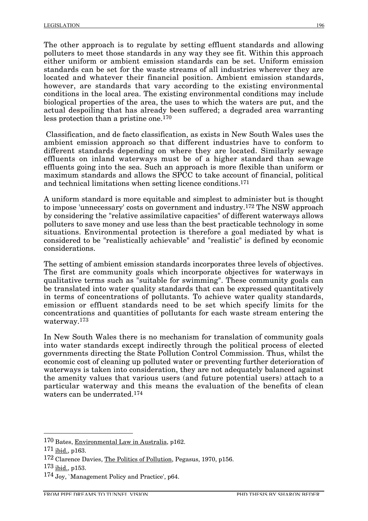The other approach is to regulate by setting effluent standards and allowing polluters to meet those standards in any way they see fit. Within this approach either uniform or ambient emission standards can be set. Uniform emission standards can be set for the waste streams of all industries wherever they are located and whatever their financial position. Ambient emission standards, however, are standards that vary according to the existing environmental conditions in the local area. The existing environmental conditions may include biological properties of the area, the uses to which the waters are put, and the actual despoiling that has already been suffered; a degraded area warranting less protection than a pristine one.170

Classification, and de facto classification, as exists in New South Wales uses the ambient emission approach so that different industries have to conform to different standards depending on where they are located. Similarly sewage effluents on inland waterways must be of a higher standard than sewage effluents going into the sea. Such an approach is more flexible than uniform or maximum standards and allows the SPCC to take account of financial, political and technical limitations when setting licence conditions.171

A uniform standard is more equitable and simplest to administer but is thought to impose 'unnecessary' costs on government and industry.172 The NSW approach by considering the "relative assimilative capacities" of different waterways allows polluters to save money and use less than the best practicable technology in some situations. Environmental protection is therefore a goal mediated by what is considered to be "realistically achievable" and "realistic" is defined by economic considerations.

The setting of ambient emission standards incorporates three levels of objectives. The first are community goals which incorporate objectives for waterways in qualitative terms such as "suitable for swimming". These community goals can be translated into water quality standards that can be expressed quantitatively in terms of concentrations of pollutants. To achieve water quality standards, emission or effluent standards need to be set which specify limits for the concentrations and quantities of pollutants for each waste stream entering the waterway.173

In New South Wales there is no mechanism for translation of community goals into water standards except indirectly through the political process of elected governments directing the State Pollution Control Commission. Thus, whilst the economic cost of cleaning up polluted water or preventing further deterioration of waterways is taken into consideration, they are not adequately balanced against the amenity values that various users (and future potential users) attach to a particular waterway and this means the evaluation of the benefits of clean waters can be underrated.174

 <sup>170</sup> Bates, Environmental Law in Australia, p162.

 $171$  ibid., p163.

<sup>172</sup> Clarence Davies, The Politics of Pollution, Pegasus, 1970, p156.

<sup>173</sup> ibid., p153.

<sup>174</sup> Joy, `Management Policy and Practice', p64.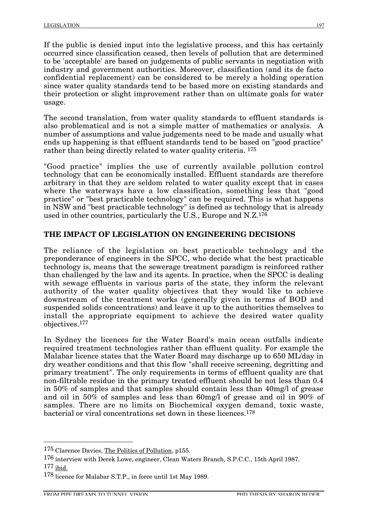If the public is denied input into the legislative process, and this has certainly occurred since classification ceased, then levels of pollution that are determined to be 'acceptable' are based on judgements of public servants in negotiation with industry and government authorities. Moreover, classification (and its de facto confidential replacement) can be considered to be merely a holding operation since water quality standards tend to be based more on existing standards and their protection or slight improvement rather than on ultimate goals for water usage.

The second translation, from water quality standards to effluent standards is also problematical and is not a simple matter of mathematics or analysis. A number of assumptions and value judgements need to be made and usually what ends up happening is that effluent standards tend to be based on "good practice" rather than being directly related to water quality criteria. 175

"Good practice" implies the use of currently available pollution control technology that can be economically installed. Effluent standards are therefore arbitrary in that they are seldom related to water quality except that in cases where the waterways have a low classification, something less that "good practice" or "best practicable technology" can be required. This is what happens in NSW and "best practicable technology" is defined as technology that is already used in other countries, particularly the U.S., Europe and N.Z.176

## **THE IMPACT OF LEGISLATION ON ENGINEERING DECISIONS**

The reliance of the legislation on best practicable technology and the preponderance of engineers in the SPCC, who decide what the best practicable technology is, means that the sewerage treatment paradigm is reinforced rather than challenged by the law and its agents. In practice, when the SPCC is dealing with sewage effluents in various parts of the state, they inform the relevant authority of the water quality objectives that they would like to achieve downstream of the treatment works (generally given in terms of BOD and suspended solids concentrations) and leave it up to the authorities themselves to install the appropriate equipment to achieve the desired water quality objectives.177

In Sydney the licences for the Water Board's main ocean outfalls indicate required treatment technologies rather than effluent quality. For example the Malabar licence states that the Water Board may discharge up to 650 ML/day in dry weather conditions and that this flow "shall receive screening, degritting and primary treatment". The only requirements in terms of effluent quality are that non-filtrable residue in the primary treated effluent should be not less than 0.4 in 50% of samples and that samples should contain less than 40mg/l of grease and oil in 50% of samples and less than 60mg/l of grease and oil in 90% of samples. There are no limits on Biochemical oxygen demand, toxic waste, bacterial or viral concentrations set down in these licences.178

 <sup>175</sup> Clarence Davies, The Politics of Pollution, p155.

<sup>176</sup> interview with Derek Lowe, engineer, Clean Waters Branch, S.P.C.C., 15th April 1987. 177 ibid.

<sup>178</sup> licence for Malabar S.T.P., in force until 1st May 1989.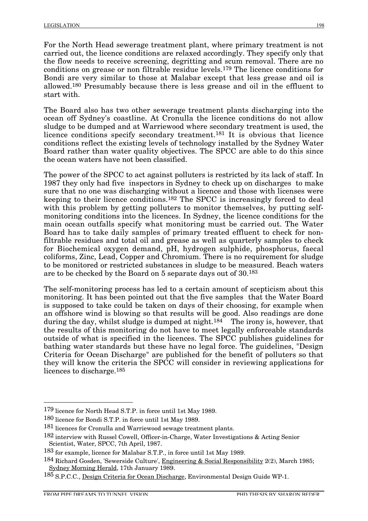For the North Head sewerage treatment plant, where primary treatment is not carried out, the licence conditions are relaxed accordingly. They specify only that the flow needs to receive screening, degritting and scum removal. There are no conditions on grease or non filtrable residue levels.179 The licence conditions for Bondi are very similar to those at Malabar except that less grease and oil is allowed.180 Presumably because there is less grease and oil in the effluent to start with.

The Board also has two other sewerage treatment plants discharging into the ocean off Sydney's coastline. At Cronulla the licence conditions do not allow sludge to be dumped and at Warriewood where secondary treatment is used, the licence conditions specify secondary treatment.181 It is obvious that licence conditions reflect the existing levels of technology installed by the Sydney Water Board rather than water quality objectives. The SPCC are able to do this since the ocean waters have not been classified.

The power of the SPCC to act against polluters is restricted by its lack of staff. In 1987 they only had five inspectors in Sydney to check up on discharges to make sure that no one was discharging without a licence and those with licenses were keeping to their licence conditions.182 The SPCC is increasingly forced to deal with this problem by getting polluters to monitor themselves, by putting selfmonitoring conditions into the licences. In Sydney, the licence conditions for the main ocean outfalls specify what monitoring must be carried out. The Water Board has to take daily samples of primary treated effluent to check for nonfiltrable residues and total oil and grease as well as quarterly samples to check for Biochemical oxygen demand, pH, hydrogen sulphide, phosphorus, faecal coliforms, Zinc, Lead, Copper and Chromium. There is no requirement for sludge to be monitored or restricted substances in sludge to be measured. Beach waters are to be checked by the Board on 5 separate days out of 30.183

The self-monitoring process has led to a certain amount of scepticism about this monitoring. It has been pointed out that the five samples that the Water Board is supposed to take could be taken on days of their choosing, for example when an offshore wind is blowing so that results will be good. Also readings are done during the day, whilst sludge is dumped at night.<sup>184</sup> The irony is, however, that the results of this monitoring do not have to meet legally enforceable standards outside of what is specified in the licences. The SPCC publishes guidelines for bathing water standards but these have no legal force. The guidelines, "Design Criteria for Ocean Discharge" are published for the benefit of polluters so that they will know the criteria the SPCC will consider in reviewing applications for licences to discharge.<sup>185</sup>

 <sup>179</sup> licence for North Head S.T.P. in force until 1st May 1989.

<sup>180</sup> licence for Bondi S.T.P. in force until 1st May 1989.

<sup>181</sup> licences for Cronulla and Warriewood sewage treatment plants.

<sup>182</sup> interview with Russel Cowell, Officer-in-Charge, Water Investigations & Acting Senior Scientist, Water, SPCC, 7th April, 1987.

<sup>183</sup> for example, licence for Malabar S.T.P., in force until 1st May 1989.

<sup>184</sup> Richard Gosden, 'Sewerside Culture', Engineering & Social Responsibility 2(2), March 1985; Sydney Morning Herald, 17th January 1989.

<sup>185</sup> S.P.C.C., Design Criteria for Ocean Discharge, Environmental Design Guide WP-1.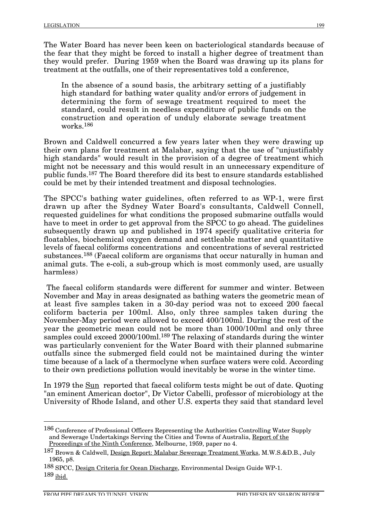The Water Board has never been keen on bacteriological standards because of the fear that they might be forced to install a higher degree of treatment than they would prefer. During 1959 when the Board was drawing up its plans for treatment at the outfalls, one of their representatives told a conference,

In the absence of a sound basis, the arbitrary setting of a justifiably high standard for bathing water quality and/or errors of judgement in determining the form of sewage treatment required to meet the standard, could result in needless expenditure of public funds on the construction and operation of unduly elaborate sewage treatment works.186

Brown and Caldwell concurred a few years later when they were drawing up their own plans for treatment at Malabar, saying that the use of "unjustifiably high standards" would result in the provision of a degree of treatment which might not be necessary and this would result in an unnecessary expenditure of public funds.187 The Board therefore did its best to ensure standards established could be met by their intended treatment and disposal technologies.

The SPCC's bathing water guidelines, often referred to as WP-1, were first drawn up after the Sydney Water Board's consultants, Caldwell Connell, requested guidelines for what conditions the proposed submarine outfalls would have to meet in order to get approval from the SPCC to go ahead. The guidelines subsequently drawn up and published in 1974 specify qualitative criteria for floatables, biochemical oxygen demand and settleable matter and quantitative levels of faecal coliforms concentrations and concentrations of several restricted substances.188 (Faecal coliform are organisms that occur naturally in human and animal guts. The e-coli, a sub-group which is most commonly used, are usually harmless)

The faecal coliform standards were different for summer and winter. Between November and May in areas designated as bathing waters the geometric mean of at least five samples taken in a 30-day period was not to exceed 200 faecal coliform bacteria per 100ml. Also, only three samples taken during the November-May period were allowed to exceed 400/100ml. During the rest of the year the geometric mean could not be more than 1000/100ml and only three samples could exceed 2000/100ml.189 The relaxing of standards during the winter was particularly convenient for the Water Board with their planned submarine outfalls since the submerged field could not be maintained during the winter time because of a lack of a thermoclyne when surface waters were cold. According to their own predictions pollution would inevitably be worse in the winter time.

In 1979 the Sun reported that faecal coliform tests might be out of date. Quoting "an eminent American doctor", Dr Victor Cabelli, professor of microbiology at the University of Rhode Island, and other U.S. experts they said that standard level

 <sup>186</sup> Conference of Professional Officers Representing the Authorities Controlling Water Supply and Sewerage Undertakings Serving the Cities and Towns of Australia, Report of the Proceedings of the Ninth Conference, Melbourne, 1959, paper no 4.

<sup>187</sup> Brown & Caldwell, Design Report: Malabar Sewerage Treatment Works, M.W.S.&D.B., July 1965, p8.

<sup>188</sup> SPCC, Design Criteria for Ocean Discharge, Environmental Design Guide WP-1. 189 ibid.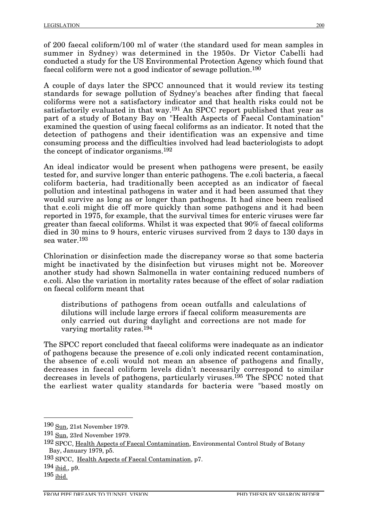of 200 faecal coliform/100 ml of water (the standard used for mean samples in summer in Sydney) was determined in the 1950s. Dr Victor Cabelli had conducted a study for the US Environmental Protection Agency which found that faecal coliform were not a good indicator of sewage pollution.190

A couple of days later the SPCC announced that it would review its testing standards for sewage pollution of Sydney's beaches after finding that faecal coliforms were not a satisfactory indicator and that health risks could not be satisfactorily evaluated in that way.191 An SPCC report published that year as part of a study of Botany Bay on "Health Aspects of Faecal Contamination" examined the question of using faecal coliforms as an indicator. It noted that the detection of pathogens and their identification was an expensive and time consuming process and the difficulties involved had lead bacteriologists to adopt the concept of indicator organisms.192

An ideal indicator would be present when pathogens were present, be easily tested for, and survive longer than enteric pathogens. The e.coli bacteria, a faecal coliform bacteria, had traditionally been accepted as an indicator of faecal pollution and intestinal pathogens in water and it had been assumed that they would survive as long as or longer than pathogens. It had since been realised that e.coli might die off more quickly than some pathogens and it had been reported in 1975, for example, that the survival times for enteric viruses were far greater than faecal coliforms. Whilst it was expected that 90% of faecal coliforms died in 30 mins to 9 hours, enteric viruses survived from 2 days to 130 days in sea water.193

Chlorination or disinfection made the discrepancy worse so that some bacteria might be inactivated by the disinfection but viruses might not be. Moreover another study had shown Salmonella in water containing reduced numbers of e.coli. Also the variation in mortality rates because of the effect of solar radiation on faecal coliform meant that

distributions of pathogens from ocean outfalls and calculations of dilutions will include large errors if faecal coliform measurements are only carried out during daylight and corrections are not made for varying mortality rates.194

The SPCC report concluded that faecal coliforms were inadequate as an indicator of pathogens because the presence of e.coli only indicated recent contamination, the absence of e.coli would not mean an absence of pathogens and finally, decreases in faecal coliform levels didn't necessarily correspond to similar decreases in levels of pathogens, particularly viruses.195 The SPCC noted that the earliest water quality standards for bacteria were "based mostly on

 <sup>190</sup> Sun, 21st November 1979.

<sup>191</sup> Sun, 23rd November 1979.

<sup>192</sup> SPCC, Health Aspects of Faecal Contamination, Environmental Control Study of Botany Bay, January 1979, p5.

<sup>193</sup> SPCC, Health Aspects of Faecal Contamination, p7.

<sup>194</sup> ibid., p9.

 $195$  ibid.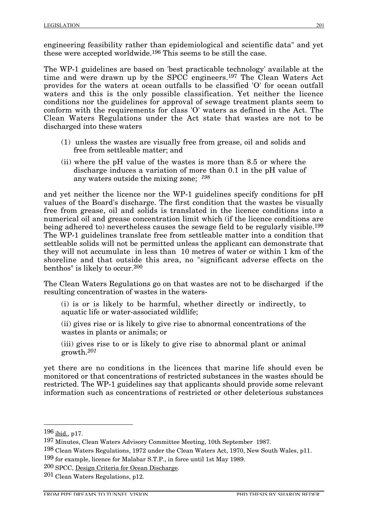engineering feasibility rather than epidemiological and scientific data" and yet these were accepted worldwide.196 This seems to be still the case.

The WP-1 guidelines are based on 'best practicable technology' available at the time and were drawn up by the SPCC engineers.197 The Clean Waters Act provides for the waters at ocean outfalls to be classified 'O' for ocean outfall waters and this is the only possible classification. Yet neither the licence conditions nor the guidelines for approval of sewage treatment plants seem to conform with the requirements for class 'O' waters as defined in the Act. The Clean Waters Regulations under the Act state that wastes are not to be discharged into these waters

- (1) unless the wastes are visually free from grease, oil and solids and free from settleable matter; and
- (ii) where the pH value of the wastes is more than 8.5 or where the discharge induces a variation of more than 0.1 in the pH value of any waters outside the mixing zone; *198*

and yet neither the licence nor the WP-1 guidelines specify conditions for pH values of the Board's discharge. The first condition that the wastes be visually free from grease, oil and solids is translated in the licence conditions into a numerical oil and grease concentration limit which (if the licence conditions are being adhered to) nevertheless causes the sewage field to be regularly visible.199 The WP-1 guidelines translate free from settleable matter into a condition that settleable solids will not be permitted unless the applicant can demonstrate that they will not accumulate in less than 10 metres of water or within 1 km of the shoreline and that outside this area, no "significant adverse effects on the benthos" is likely to occur.200

The Clean Waters Regulations go on that wastes are not to be discharged if the resulting concentration of wastes in the waters-

(i) is or is likely to be harmful, whether directly or indirectly, to aquatic life or water-associated wildlife;

(ii) gives rise or is likely to give rise to abnormal concentrations of the wastes in plants or animals; or

(iii) gives rise to or is likely to give rise to abnormal plant or animal growth.*201*

yet there are no conditions in the licences that marine life should even be monitored or that concentrations of restricted substances in the wastes should be restricted. The WP-1 guidelines say that applicants should provide some relevant information such as concentrations of restricted or other deleterious substances

 <sup>196</sup> ibid., p17.

<sup>197</sup> Minutes, Clean Waters Advisory Committee Meeting, 10th September 1987.

<sup>198</sup> Clean Waters Regulations, 1972 under the Clean Waters Act, 1970, New South Wales, p11.

<sup>199</sup> for example, licence for Malabar S.T.P., in force until 1st May 1989.

<sup>200</sup> SPCC, Design Criteria for Ocean Discharge.

<sup>201</sup> Clean Waters Regulations, p12.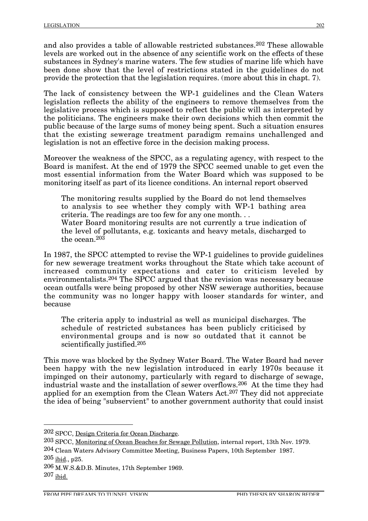and also provides a table of allowable restricted substances.202 These allowable levels are worked out in the absence of any scientific work on the effects of these substances in Sydney's marine waters. The few studies of marine life which have been done show that the level of restrictions stated in the guidelines do not provide the protection that the legislation requires. (more about this in chapt. 7).

The lack of consistency between the WP-1 guidelines and the Clean Waters legislation reflects the ability of the engineers to remove themselves from the legislative process which is supposed to reflect the public will as interpreted by the politicians. The engineers make their own decisions which then commit the public because of the large sums of money being spent. Such a situation ensures that the existing sewerage treatment paradigm remains unchallenged and legislation is not an effective force in the decision making process.

Moreover the weakness of the SPCC, as a regulating agency, with respect to the Board is manifest. At the end of 1979 the SPCC seemed unable to get even the most essential information from the Water Board which was supposed to be monitoring itself as part of its licence conditions. An internal report observed

The monitoring results supplied by the Board do not lend themselves to analysis to see whether they comply with WP-1 bathing area criteria. The readings are too few for any one month. . . Water Board monitoring results are not currently a true indication of the level of pollutants, e.g. toxicants and heavy metals, discharged to the ocean.203

In 1987, the SPCC attempted to revise the WP-1 guidelines to provide guidelines for new sewerage treatment works throughout the State which take account of increased community expectations and cater to criticism leveled by environmentalists.204 The SPCC argued that the revision was necessary because ocean outfalls were being proposed by other NSW sewerage authorities, because the community was no longer happy with looser standards for winter, and because

The criteria apply to industrial as well as municipal discharges. The schedule of restricted substances has been publicly criticised by environmental groups and is now so outdated that it cannot be scientifically justified.205

This move was blocked by the Sydney Water Board. The Water Board had never been happy with the new legislation introduced in early 1970s because it impinged on their autonomy, particularly with regard to discharge of sewage, industrial waste and the installation of sewer overflows.206 At the time they had applied for an exemption from the Clean Waters Act.207 They did not appreciate the idea of being "subservient" to another government authority that could insist

- 203 SPCC, Monitoring of Ocean Beaches for Sewage Pollution, internal report, 13th Nov. 1979.
- 204 Clean Waters Advisory Committee Meeting, Business Papers, 10th September 1987.  $205$  ibid., p25.

 <sup>202</sup> SPCC, Design Criteria for Ocean Discharge.

<sup>206</sup> M.W.S.&D.B. Minutes, 17th September 1969. 207 ibid.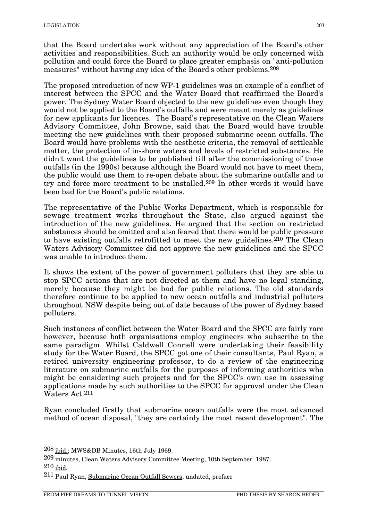that the Board undertake work without any appreciation of the Board's other activities and responsibilities. Such an authority would be only concerned with pollution and could force the Board to place greater emphasis on "anti-pollution measures" without having any idea of the Board's other problems.208

The proposed introduction of new WP-1 guidelines was an example of a conflict of interest between the SPCC and the Water Board that reaffirmed the Board's power. The Sydney Water Board objected to the new guidelines even though they would not be applied to the Board's outfalls and were meant merely as guidelines for new applicants for licences. The Board's representative on the Clean Waters Advisory Committee, John Browne, said that the Board would have trouble meeting the new guidelines with their proposed submarine ocean outfalls. The Board would have problems with the aesthetic criteria, the removal of settleable matter, the protection of in-shore waters and levels of restricted substances. He didn't want the guidelines to be published till after the commissioning of those outfalls (in the 1990s) because although the Board would not have to meet them, the public would use them to re-open debate about the submarine outfalls and to try and force more treatment to be installed.209 In other words it would have been bad for the Board's public relations.

The representative of the Public Works Department, which is responsible for sewage treatment works throughout the State, also argued against the introduction of the new guidelines. He argued that the section on restricted substances should be omitted and also feared that there would be public pressure to have existing outfalls retrofitted to meet the new guidelines.210 The Clean Waters Advisory Committee did not approve the new guidelines and the SPCC was unable to introduce them.

It shows the extent of the power of government polluters that they are able to stop SPCC actions that are not directed at them and have no legal standing, merely because they might be bad for public relations. The old standards therefore continue to be applied to new ocean outfalls and industrial polluters throughout NSW despite being out of date because of the power of Sydney based polluters.

Such instances of conflict between the Water Board and the SPCC are fairly rare however, because both organisations employ engineers who subscribe to the same paradigm. Whilst Caldwell Connell were undertaking their feasibility study for the Water Board, the SPCC got one of their consultants, Paul Ryan, a retired university engineering professor, to do a review of the engineering literature on submarine outfalls for the purposes of informing authorities who might be considering such projects and for the SPCC's own use in assessing applications made by such authorities to the SPCC for approval under the Clean Waters Act.211

Ryan concluded firstly that submarine ocean outfalls were the most advanced method of ocean disposal, "they are certainly the most recent development". The

 <sup>208</sup> ibid.; MWS&DB Minutes, 16th July 1969.

<sup>209</sup> minutes, Clean Waters Advisory Committee Meeting, 10th September 1987. 210 ibid.

<sup>211</sup> Paul Ryan, Submarine Ocean Outfall Sewers, undated, preface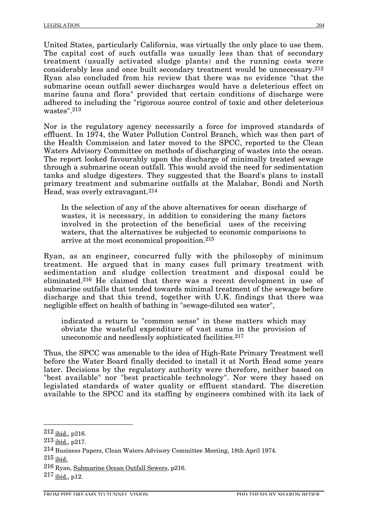United States, particularly California, was virtually the only place to use them. The capital cost of such outfalls was usually less than that of secondary treatment (usually activated sludge plants) and the running costs were considerably less and once built secondary treatment would be unnecessary.212 Ryan also concluded from his review that there was no evidence "that the submarine ocean outfall sewer discharges would have a deleterious effect on marine fauna and flora" provided that certain conditions of discharge were adhered to including the "rigorous source control of toxic and other deleterious wastes".213

Nor is the regulatory agency necessarily a force for improved standards of effluent. In 1974, the Water Pollution Control Branch, which was then part of the Health Commission and later moved to the SPCC, reported to the Clean Waters Advisory Committee on methods of discharging of wastes into the ocean. The report looked favourably upon the discharge of minimally treated sewage through a submarine ocean outfall. This would avoid the need for sedimentation tanks and sludge digesters. They suggested that the Board's plans to install primary treatment and submarine outfalls at the Malabar, Bondi and North Head, was overly extravagant.214

In the selection of any of the above alternatives for ocean discharge of wastes, it is necessary, in addition to considering the many factors involved in the protection of the beneficial uses of the receiving waters, that the alternatives be subjected to economic comparisons to arrive at the most economical proposition.215

Ryan, as an engineer, concurred fully with the philosophy of minimum treatment. He argued that in many cases full primary treatment with sedimentation and sludge collection treatment and disposal could be eliminated.216 He claimed that there was a recent development in use of submarine outfalls that tended towards minimal treatment of the sewage before discharge and that this trend, together with U.K. findings that there was negligible effect on health of bathing in "sewage-diluted sea water",

indicated a return to "common sense" in these matters which may obviate the wasteful expenditure of vast sums in the provision of uneconomic and needlessly sophisticated facilities.217

Thus, the SPCC was amenable to the idea of High-Rate Primary Treatment well before the Water Board finally decided to install it at North Head some years later. Decisions by the regulatory authority were therefore, neither based on "best available" nor "best practicable technology". Nor were they based on legislated standards of water quality or effluent standard. The discretion available to the SPCC and its staffing by engineers combined with its lack of

 $212$  ibid., p216.

<sup>213</sup> ibid., p217.

<sup>214</sup> Business Papers, Clean Waters Advisory Committee Meeting, 18th April 1974.

 $215$  ibid.

<sup>216</sup> Ryan, Submarine Ocean Outfall Sewers, p216.

 $^{217}$  ibid., p12.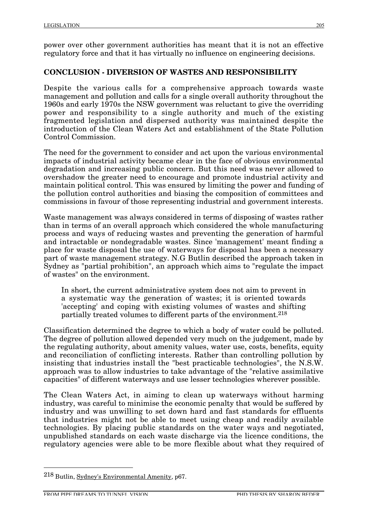power over other government authorities has meant that it is not an effective regulatory force and that it has virtually no influence on engineering decisions.

#### **CONCLUSION - DIVERSION OF WASTES AND RESPONSIBILITY**

Despite the various calls for a comprehensive approach towards waste management and pollution and calls for a single overall authority throughout the 1960s and early 1970s the NSW government was reluctant to give the overriding power and responsibility to a single authority and much of the existing fragmented legislation and dispersed authority was maintained despite the introduction of the Clean Waters Act and establishment of the State Pollution Control Commission.

The need for the government to consider and act upon the various environmental impacts of industrial activity became clear in the face of obvious environmental degradation and increasing public concern. But this need was never allowed to overshadow the greater need to encourage and promote industrial activity and maintain political control. This was ensured by limiting the power and funding of the pollution control authorities and biasing the composition of committees and commissions in favour of those representing industrial and government interests.

Waste management was always considered in terms of disposing of wastes rather than in terms of an overall approach which considered the whole manufacturing process and ways of reducing wastes and preventing the generation of harmful and intractable or nondegradable wastes. Since 'management' meant finding a place for waste disposal the use of waterways for disposal has been a necessary part of waste management strategy. N.G Butlin described the approach taken in Sydney as "partial prohibition", an approach which aims to "regulate the impact of wastes" on the environment.

In short, the current administrative system does not aim to prevent in a systematic way the generation of wastes; it is oriented towards 'accepting' and coping with existing volumes of wastes and shifting partially treated volumes to different parts of the environment.218

Classification determined the degree to which a body of water could be polluted. The degree of pollution allowed depended very much on the judgement, made by the regulating authority, about amenity values, water use, costs, benefits, equity and reconciliation of conflicting interests. Rather than controlling pollution by insisting that industries install the "best practicable technologies", the N.S.W. approach was to allow industries to take advantage of the "relative assimilative capacities" of different waterways and use lesser technologies wherever possible.

The Clean Waters Act, in aiming to clean up waterways without harming industry, was careful to minimise the economic penalty that would be suffered by industry and was unwilling to set down hard and fast standards for effluents that industries might not be able to meet using cheap and readily available technologies. By placing public standards on the water ways and negotiated, unpublished standards on each waste discharge via the licence conditions, the regulatory agencies were able to be more flexible about what they required of

 <sup>218</sup> Butlin, Sydney's Environmental Amenity, p67.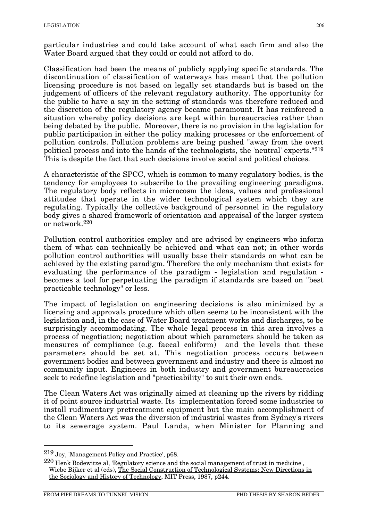particular industries and could take account of what each firm and also the Water Board argued that they could or could not afford to do.

Classification had been the means of publicly applying specific standards. The discontinuation of classification of waterways has meant that the pollution licensing procedure is not based on legally set standards but is based on the judgement of officers of the relevant regulatory authority. The opportunity for the public to have a say in the setting of standards was therefore reduced and the discretion of the regulatory agency became paramount. It has reinforced a situation whereby policy decisions are kept within bureaucracies rather than being debated by the public. Moreover, there is no provision in the legislation for public participation in either the policy making processes or the enforcement of pollution controls. Pollution problems are being pushed "away from the overt political process and into the hands of the technologists, the 'neutral' experts."219 This is despite the fact that such decisions involve social and political choices.

A characteristic of the SPCC, which is common to many regulatory bodies, is the tendency for employees to subscribe to the prevailing engineering paradigms. The regulatory body reflects in microcosm the ideas, values and professional attitudes that operate in the wider technological system which they are regulating. Typically the collective background of personnel in the regulatory body gives a shared framework of orientation and appraisal of the larger system or network.220

Pollution control authorities employ and are advised by engineers who inform them of what can technically be achieved and what can not; in other words pollution control authorities will usually base their standards on what can be achieved by the existing paradigm. Therefore the only mechanism that exists for evaluating the performance of the paradigm - legislation and regulation becomes a tool for perpetuating the paradigm if standards are based on "best practicable technology" or less.

The impact of legislation on engineering decisions is also minimised by a licensing and approvals procedure which often seems to be inconsistent with the legislation and, in the case of Water Board treatment works and discharges, to be surprisingly accommodating. The whole legal process in this area involves a process of negotiation; negotiation about which parameters should be taken as measures of compliance (e.g. faecal coliform) and the levels that these parameters should be set at. This negotiation process occurs between government bodies and between government and industry and there is almost no community input. Engineers in both industry and government bureaucracies seek to redefine legislation and "practicability" to suit their own ends.

The Clean Waters Act was originally aimed at cleaning up the rivers by ridding it of point source industrial waste. Its implementation forced some industries to install rudimentary pretreatment equipment but the main accomplishment of the Clean Waters Act was the diversion of industrial wastes from Sydney's rivers to its sewerage system. Paul Landa, when Minister for Planning and

 <sup>219</sup> Joy, 'Management Policy and Practice', p68.

 $^{220}$  Henk Bodewitze al, 'Regulatory science and the social management of trust in medicine', Wiebe Bijker et al (eds), The Social Construction of Technological Systems: New Directions in the Sociology and History of Technology, MIT Press, 1987, p244.